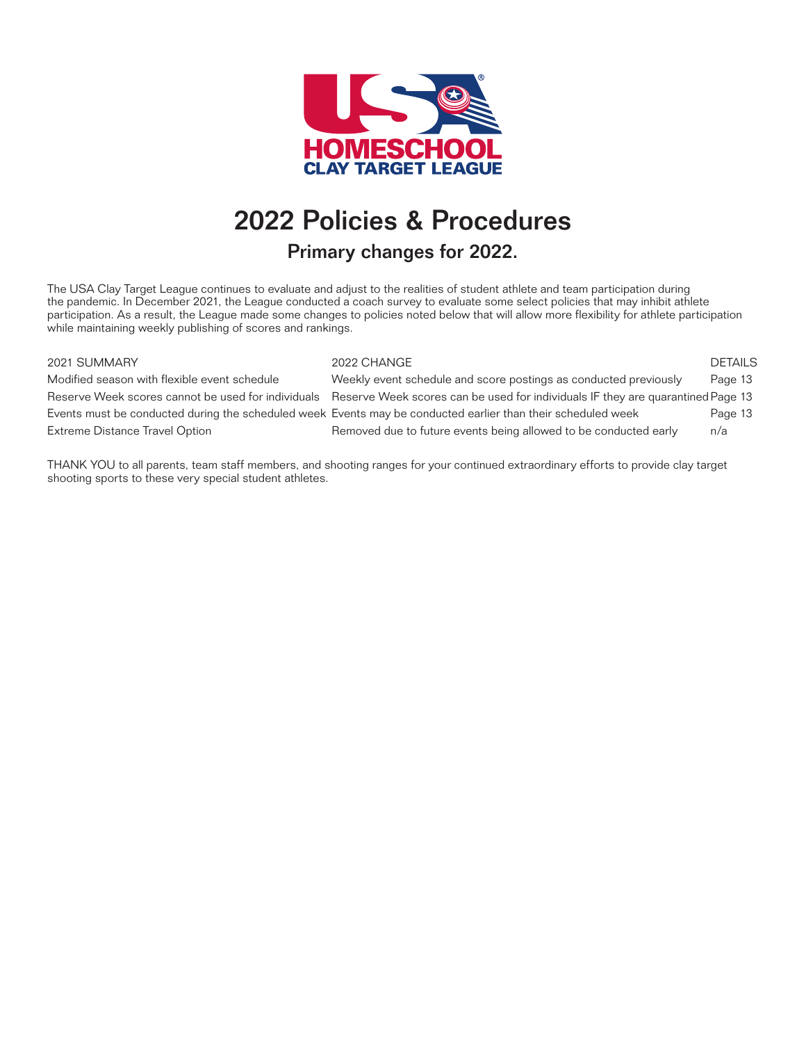

# 2022 Policies & Procedures

### Primary changes for 2022.

The USA Clay Target League continues to evaluate and adjust to the realities of student athlete and team participation during the pandemic. In December 2021, the League conducted a coach survey to evaluate some select policies that may inhibit athlete participation. As a result, the League made some changes to policies noted below that will allow more flexibility for athlete participation while maintaining weekly publishing of scores and rankings.

#### 2021 SUMMARY 2022 CHANGE DETAILS

Modified season with flexible event schedule Weekly event schedule and score postings as conducted previously Page 13 Reserve Week scores cannot be used for individuals Reserve Week scores can be used for individuals IF they are quarantined Page 13 Events must be conducted during the scheduled week Events may be conducted earlier than their scheduled week Page 13 Extreme Distance Travel Option **Removed due to future events being allowed to be conducted early**  $n/a$ 

THANK YOU to all parents, team staff members, and shooting ranges for your continued extraordinary efforts to provide clay target shooting sports to these very special student athletes.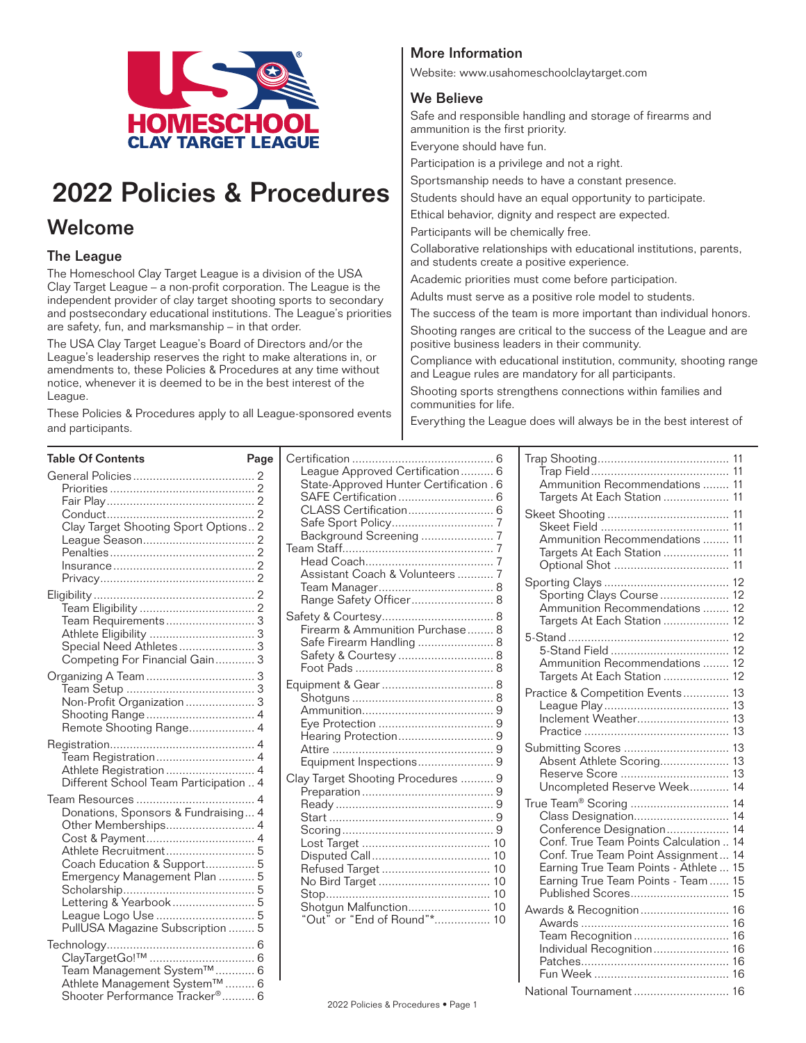

# 2022 Policies & Procedures

### Welcome

### The League

The Homeschool Clay Target League is a division of the USA Clay Target League – a non-profit corporation. The League is the independent provider of clay target shooting sports to secondary and postsecondary educational institutions. The League's priorities are safety, fun, and marksmanship – in that order.

The USA Clay Target League's Board of Directors and/or the League's leadership reserves the right to make alterations in, or amendments to, these Policies & Procedures at any time without notice, whenever it is deemed to be in the best interest of the League.

These Policies & Procedures apply to all League-sponsored events and participants.

### More Information

Website: www.usahomeschoolclaytarget.com

### We Believe

Safe and responsible handling and storage of firearms and ammunition is the first priority.

Everyone should have fun.

Participation is a privilege and not a right.

Sportsmanship needs to have a constant presence.

Students should have an equal opportunity to participate.

Ethical behavior, dignity and respect are expected.

Participants will be chemically free.

Collaborative relationships with educational institutions, parents, and students create a positive experience.

Academic priorities must come before participation.

Adults must serve as a positive role model to students.

The success of the team is more important than individual honors.

Shooting ranges are critical to the success of the League and are positive business leaders in their community.

Compliance with educational institution, community, shooting range and League rules are mandatory for all participants.

Shooting sports strengthens connections within families and communities for life.

Everything the League does will always be in the best interest of

| <b>Table Of Contents</b>               | Page |                                         |                                        |  |
|----------------------------------------|------|-----------------------------------------|----------------------------------------|--|
|                                        |      | League Approved Certification 6         |                                        |  |
|                                        |      | State-Approved Hunter Certification . 6 | Ammunition Recommendations  11         |  |
|                                        |      |                                         | Targets At Each Station  11            |  |
|                                        |      |                                         |                                        |  |
| Clay Target Shooting Sport Options 2   |      |                                         |                                        |  |
|                                        |      |                                         | Ammunition Recommendations  11         |  |
|                                        |      |                                         | Targets At Each Station  11            |  |
|                                        |      |                                         |                                        |  |
|                                        |      | Assistant Coach & Volunteers  7         |                                        |  |
|                                        |      |                                         | Sporting Clays Course  12              |  |
|                                        |      | Range Safety Officer 8                  | Ammunition Recommendations  12         |  |
|                                        |      |                                         | Targets At Each Station  12            |  |
|                                        |      | Firearm & Ammunition Purchase 8         |                                        |  |
| Special Need Athletes 3                |      | Safe Firearm Handling  8                |                                        |  |
| Competing For Financial Gain 3         |      | Safety & Courtesy 8                     | Ammunition Recommendations  12         |  |
|                                        |      |                                         | Targets At Each Station  12            |  |
|                                        |      |                                         |                                        |  |
| Non-Profit Organization  3             |      |                                         | Practice & Competition Events 13       |  |
|                                        |      |                                         |                                        |  |
| Remote Shooting Range 4                |      |                                         |                                        |  |
|                                        |      |                                         |                                        |  |
|                                        |      |                                         |                                        |  |
| Athlete Registration  4                |      | Equipment Inspections 9                 | Absent Athlete Scoring 13              |  |
| Different School Team Participation  4 |      | Clay Target Shooting Procedures  9      |                                        |  |
|                                        |      |                                         | Uncompleted Reserve Week 14            |  |
|                                        |      |                                         | True Team® Scoring  14                 |  |
| Donations, Sponsors & Fundraising 4    |      |                                         | Class Designation 14                   |  |
| Other Memberships 4                    |      |                                         | Conference Designation 14              |  |
|                                        |      |                                         | Conf. True Team Points Calculation  14 |  |
|                                        |      |                                         | Conf. True Team Point Assignment 14    |  |
| Coach Education & Support 5            |      |                                         | Earning True Team Points - Athlete  15 |  |
| Emergency Management Plan  5           |      |                                         | Earning True Team Points - Team  15    |  |
| Lettering & Yearbook 5                 |      |                                         | Published Scores 15                    |  |
|                                        |      |                                         |                                        |  |
| PullUSA Magazine Subscription  5       |      | "Out" or "End of Round"* 10             |                                        |  |
|                                        |      |                                         | Team Recognition  16                   |  |
|                                        |      |                                         | Individual Recognition 16              |  |
|                                        |      |                                         |                                        |  |
| Team Management System™ 6              |      |                                         |                                        |  |
| Athlete Management System™  6          |      |                                         | National Tournament  16                |  |
| Shooter Performance Tracker® 6         |      | 0.0000111100                            |                                        |  |

| Ammunition Recommendations  11                                                                                                                                                                                                                                                                       |  |
|------------------------------------------------------------------------------------------------------------------------------------------------------------------------------------------------------------------------------------------------------------------------------------------------------|--|
| Targets At Each Station  11<br>11<br>Ammunition Recommendations  11<br>Targets At Each Station<br>11<br>11                                                                                                                                                                                           |  |
| Sporting Clays Course  12<br>Ammunition Recommendations  12<br>Targets At Each Station  12                                                                                                                                                                                                           |  |
| 12<br>Ammunition Recommendations<br>12<br>Targets At Each Station<br>12                                                                                                                                                                                                                              |  |
| 13<br>Practice & Competition Events<br>13<br>Inclement Weather<br>13<br>13                                                                                                                                                                                                                           |  |
| 13<br>Submitting Scores<br>Absent Athlete Scoring<br>13<br>Reserve Score<br>13<br>Uncompleted Reserve Week<br>14                                                                                                                                                                                     |  |
| True Team <sup>®</sup> Scoring<br>14<br>Class Designation<br>14<br>Conference Designation<br>14<br>Conf. True Team Points Calculation<br>14<br>Conf. True Team Point Assignment<br>14<br>Earning True Team Points - Athlete<br>15<br>Earning True Team Points - Team<br>15<br>Published Scores<br>15 |  |
| Awards & Recognition 16<br>16<br>Team Recognition  16<br>Individual Recognition<br>16                                                                                                                                                                                                                |  |
| 16<br>16<br>National Tournament  16                                                                                                                                                                                                                                                                  |  |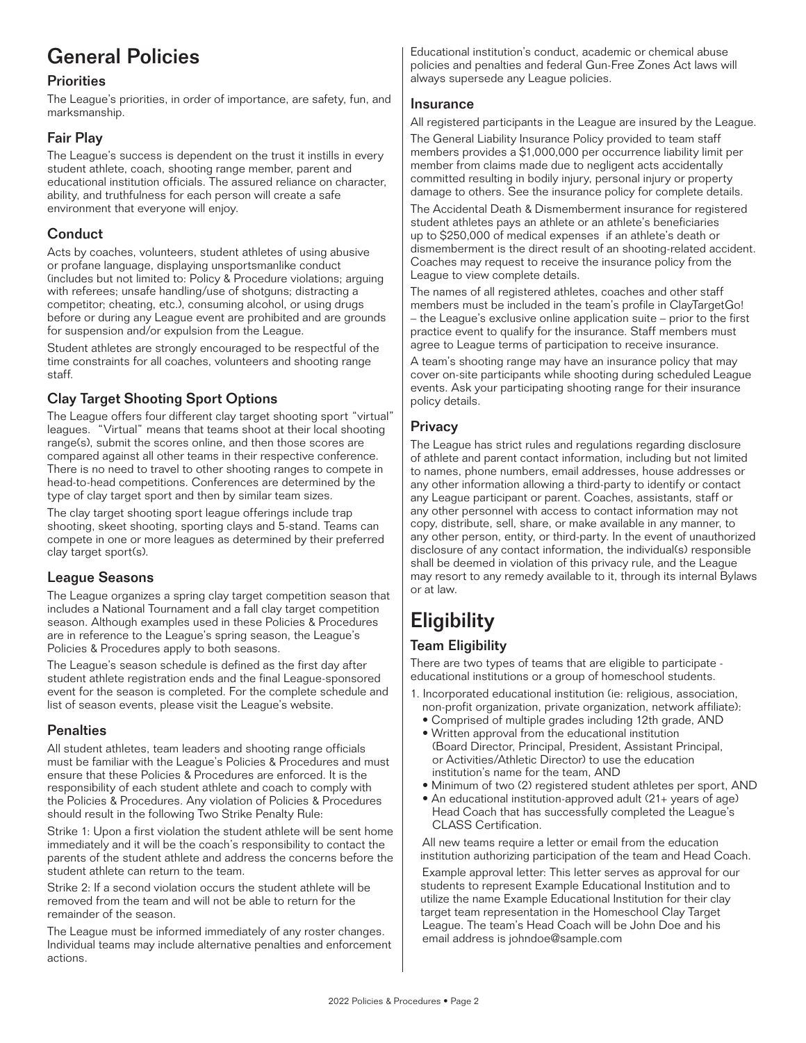## General Policies

### **Priorities**

The League's priorities, in order of importance, are safety, fun, and marksmanship.

### Fair Play

The League's success is dependent on the trust it instills in every student athlete, coach, shooting range member, parent and educational institution officials. The assured reliance on character, ability, and truthfulness for each person will create a safe environment that everyone will enjoy.

### **Conduct**

Acts by coaches, volunteers, student athletes of using abusive or profane language, displaying unsportsmanlike conduct (includes but not limited to: Policy & Procedure violations; arguing with referees; unsafe handling/use of shotguns; distracting a competitor; cheating, etc.), consuming alcohol, or using drugs before or during any League event are prohibited and are grounds for suspension and/or expulsion from the League.

Student athletes are strongly encouraged to be respectful of the time constraints for all coaches, volunteers and shooting range staff.

### Clay Target Shooting Sport Options

The League offers four different clay target shooting sport "virtual" leagues. "Virtual" means that teams shoot at their local shooting range(s), submit the scores online, and then those scores are compared against all other teams in their respective conference. There is no need to travel to other shooting ranges to compete in head-to-head competitions. Conferences are determined by the type of clay target sport and then by similar team sizes.

The clay target shooting sport league offerings include trap shooting, skeet shooting, sporting clays and 5-stand. Teams can compete in one or more leagues as determined by their preferred clay target sport(s).

### League Seasons

The League organizes a spring clay target competition season that includes a National Tournament and a fall clay target competition season. Although examples used in these Policies & Procedures are in reference to the League's spring season, the League's Policies & Procedures apply to both seasons.

The League's season schedule is defined as the first day after student athlete registration ends and the final League-sponsored event for the season is completed. For the complete schedule and list of season events, please visit the League's website.

### **Penalties**

All student athletes, team leaders and shooting range officials must be familiar with the League's Policies & Procedures and must ensure that these Policies & Procedures are enforced. It is the responsibility of each student athlete and coach to comply with the Policies & Procedures. Any violation of Policies & Procedures should result in the following Two Strike Penalty Rule:

Strike 1: Upon a first violation the student athlete will be sent home immediately and it will be the coach's responsibility to contact the parents of the student athlete and address the concerns before the student athlete can return to the team.

Strike 2: If a second violation occurs the student athlete will be removed from the team and will not be able to return for the remainder of the season.

The League must be informed immediately of any roster changes. Individual teams may include alternative penalties and enforcement actions.

Educational institution's conduct, academic or chemical abuse policies and penalties and federal Gun-Free Zones Act laws will always supersede any League policies.

### Insurance

All registered participants in the League are insured by the League.

The General Liability Insurance Policy provided to team staff members provides a \$1,000,000 per occurrence liability limit per member from claims made due to negligent acts accidentally committed resulting in bodily injury, personal injury or property damage to others. See the insurance policy for complete details.

The Accidental Death & Dismemberment insurance for registered student athletes pays an athlete or an athlete's beneficiaries up to \$250,000 of medical expenses if an athlete's death or dismemberment is the direct result of an shooting-related accident. Coaches may request to receive the insurance policy from the League to view complete details.

The names of all registered athletes, coaches and other staff members must be included in the team's profile in ClayTargetGo! – the League's exclusive online application suite – prior to the first practice event to qualify for the insurance. Staff members must agree to League terms of participation to receive insurance.

A team's shooting range may have an insurance policy that may cover on-site participants while shooting during scheduled League events. Ask your participating shooting range for their insurance policy details.

### **Privacy**

The League has strict rules and regulations regarding disclosure of athlete and parent contact information, including but not limited to names, phone numbers, email addresses, house addresses or any other information allowing a third-party to identify or contact any League participant or parent. Coaches, assistants, staff or any other personnel with access to contact information may not copy, distribute, sell, share, or make available in any manner, to any other person, entity, or third-party. In the event of unauthorized disclosure of any contact information, the individual(s) responsible shall be deemed in violation of this privacy rule, and the League may resort to any remedy available to it, through its internal Bylaws or at law.

## **Eligibility**

### Team Eligibility

There are two types of teams that are eligible to participate educational institutions or a group of homeschool students.

- 1. Incorporated educational institution (ie: religious, association, non-profit organization, private organization, network affiliate):
	- Comprised of multiple grades including 12th grade, AND
	- Written approval from the educational institution (Board Director, Principal, President, Assistant Principal, or Activities/Athletic Director) to use the education institution's name for the team, AND
	- Minimum of two (2) registered student athletes per sport, AND
	- An educational institution-approved adult (21+ years of age) Head Coach that has successfully completed the League's CLASS Certification.

All new teams require a letter or email from the education institution authorizing participation of the team and Head Coach.

Example approval letter: This letter serves as approval for our students to represent Example Educational Institution and to utilize the name Example Educational Institution for their clay target team representation in the Homeschool Clay Target League. The team's Head Coach will be John Doe and his email address is johndoe@sample.com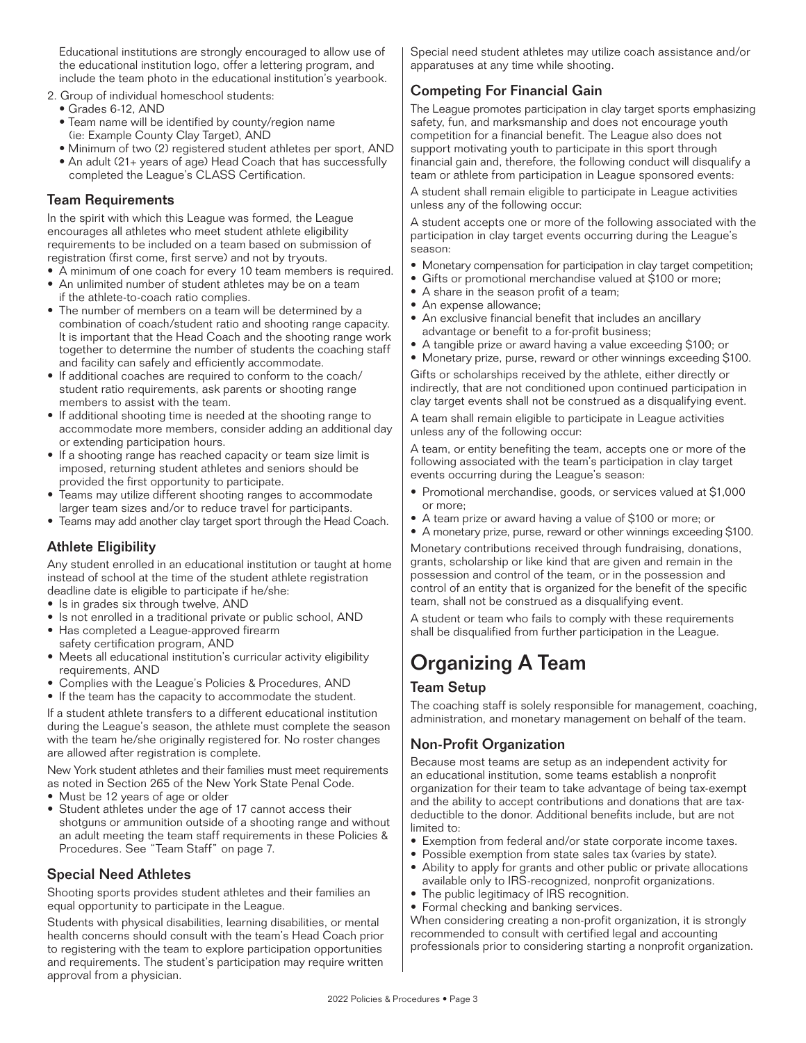Educational institutions are strongly encouraged to allow use of the educational institution logo, offer a lettering program, and include the team photo in the educational institution's yearbook.

- 2. Group of individual homeschool students:
	- Grades 6-12, AND
	- Team name will be identified by county/region name (ie: Example County Clay Target), AND
	- Minimum of two (2) registered student athletes per sport, AND
	- An adult (21+ years of age) Head Coach that has successfully completed the League's CLASS Certification.

### Team Requirements

In the spirit with which this League was formed, the League encourages all athletes who meet student athlete eligibility requirements to be included on a team based on submission of registration (first come, first serve) and not by tryouts.

- A minimum of one coach for every 10 team members is required.
- An unlimited number of student athletes may be on a team if the athlete-to-coach ratio complies.
- The number of members on a team will be determined by a combination of coach/student ratio and shooting range capacity. It is important that the Head Coach and the shooting range work together to determine the number of students the coaching staff and facility can safely and efficiently accommodate.
- If additional coaches are required to conform to the coach/ student ratio requirements, ask parents or shooting range members to assist with the team.
- If additional shooting time is needed at the shooting range to accommodate more members, consider adding an additional day or extending participation hours.
- If a shooting range has reached capacity or team size limit is imposed, returning student athletes and seniors should be provided the first opportunity to participate.
- Teams may utilize different shooting ranges to accommodate larger team sizes and/or to reduce travel for participants.
- Teams may add another clay target sport through the Head Coach.

### Athlete Eligibility

Any student enrolled in an educational institution or taught at home instead of school at the time of the student athlete registration deadline date is eligible to participate if he/she:

- Is in grades six through twelve, AND
- Is not enrolled in a traditional private or public school, AND
- Has completed a League-approved firearm safety certification program, AND
- Meets all educational institution's curricular activity eligibility requirements, AND
- Complies with the League's Policies & Procedures, AND
- If the team has the capacity to accommodate the student.

If a student athlete transfers to a different educational institution during the League's season, the athlete must complete the season with the team he/she originally registered for. No roster changes are allowed after registration is complete.

New York student athletes and their families must meet requirements as noted in Section 265 of the New York State Penal Code.

- Must be 12 years of age or older
- Student athletes under the age of 17 cannot access their shotguns or ammunition outside of a shooting range and without an adult meeting the team staff requirements in these Policies & Procedures. See "Team Staff" on page 7.

### Special Need Athletes

Shooting sports provides student athletes and their families an equal opportunity to participate in the League.

Students with physical disabilities, learning disabilities, or mental health concerns should consult with the team's Head Coach prior to registering with the team to explore participation opportunities and requirements. The student's participation may require written approval from a physician.

Special need student athletes may utilize coach assistance and/or apparatuses at any time while shooting.

### Competing For Financial Gain

The League promotes participation in clay target sports emphasizing safety, fun, and marksmanship and does not encourage youth competition for a financial benefit. The League also does not support motivating youth to participate in this sport through financial gain and, therefore, the following conduct will disqualify a team or athlete from participation in League sponsored events:

A student shall remain eligible to participate in League activities unless any of the following occur:

A student accepts one or more of the following associated with the participation in clay target events occurring during the League's season:

- Monetary compensation for participation in clay target competition;
- Gifts or promotional merchandise valued at \$100 or more;
- A share in the season profit of a team;
- An expense allowance;
- An exclusive financial benefit that includes an ancillary advantage or benefit to a for-profit business;
- A tangible prize or award having a value exceeding \$100; or
- Monetary prize, purse, reward or other winnings exceeding \$100.

Gifts or scholarships received by the athlete, either directly or indirectly, that are not conditioned upon continued participation in clay target events shall not be construed as a disqualifying event.

A team shall remain eligible to participate in League activities unless any of the following occur:

A team, or entity benefiting the team, accepts one or more of the following associated with the team's participation in clay target events occurring during the League's season:

- Promotional merchandise, goods, or services valued at \$1,000 or more;
- A team prize or award having a value of \$100 or more; or
- A monetary prize, purse, reward or other winnings exceeding \$100.

Monetary contributions received through fundraising, donations, grants, scholarship or like kind that are given and remain in the possession and control of the team, or in the possession and control of an entity that is organized for the benefit of the specific team, shall not be construed as a disqualifying event.

A student or team who fails to comply with these requirements shall be disqualified from further participation in the League.

### Organizing A Team

### Team Setup

The coaching staff is solely responsible for management, coaching, administration, and monetary management on behalf of the team.

### Non-Profit Organization

Because most teams are setup as an independent activity for an educational institution, some teams establish a nonprofit organization for their team to take advantage of being tax-exempt and the ability to accept contributions and donations that are taxdeductible to the donor. Additional benefits include, but are not limited to:

- Exemption from federal and/or state corporate income taxes.
- Possible exemption from state sales tax (varies by state).
- Ability to apply for grants and other public or private allocations available only to IRS-recognized, nonprofit organizations.
- The public legitimacy of IRS recognition.
- Formal checking and banking services.

When considering creating a non-profit organization, it is strongly recommended to consult with certified legal and accounting professionals prior to considering starting a nonprofit organization.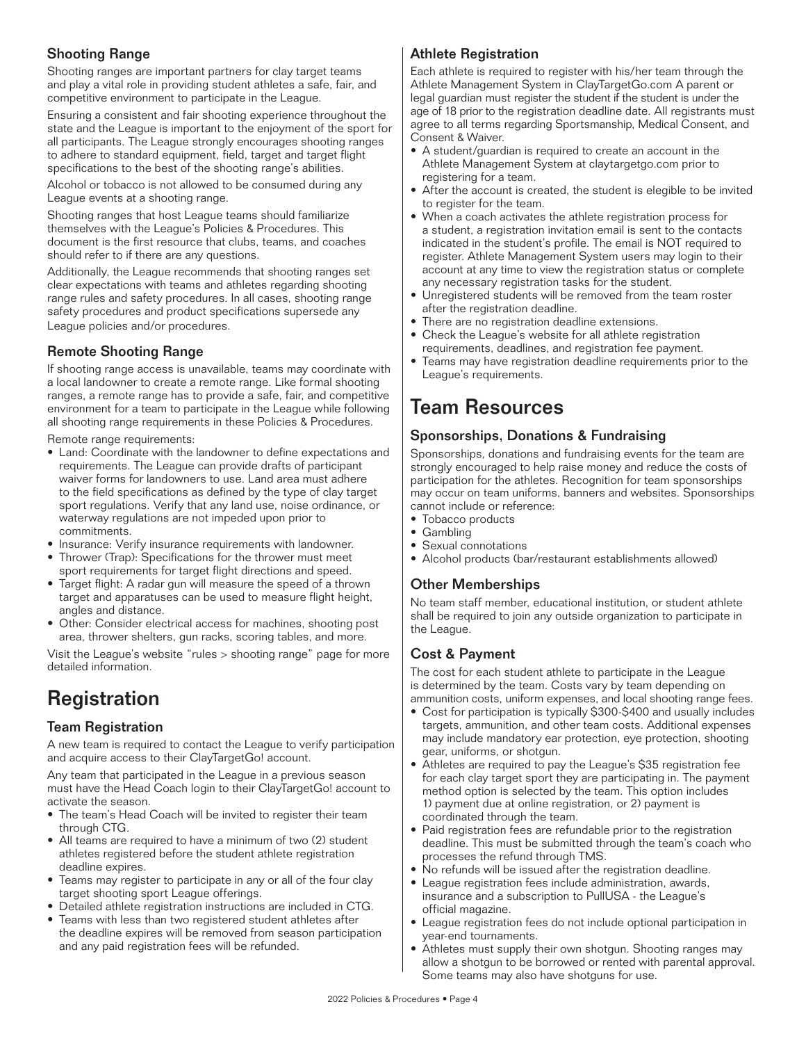### Shooting Range

Shooting ranges are important partners for clay target teams and play a vital role in providing student athletes a safe, fair, and competitive environment to participate in the League.

Ensuring a consistent and fair shooting experience throughout the state and the League is important to the enjoyment of the sport for all participants. The League strongly encourages shooting ranges to adhere to standard equipment, field, target and target flight specifications to the best of the shooting range's abilities.

Alcohol or tobacco is not allowed to be consumed during any League events at a shooting range.

Shooting ranges that host League teams should familiarize themselves with the League's Policies & Procedures. This document is the first resource that clubs, teams, and coaches should refer to if there are any questions.

Additionally, the League recommends that shooting ranges set clear expectations with teams and athletes regarding shooting range rules and safety procedures. In all cases, shooting range safety procedures and product specifications supersede any League policies and/or procedures.

### Remote Shooting Range

If shooting range access is unavailable, teams may coordinate with a local landowner to create a remote range. Like formal shooting ranges, a remote range has to provide a safe, fair, and competitive environment for a team to participate in the League while following all shooting range requirements in these Policies & Procedures.

Remote range requirements:

- Land: Coordinate with the landowner to define expectations and requirements. The League can provide drafts of participant waiver forms for landowners to use. Land area must adhere to the field specifications as defined by the type of clay target sport regulations. Verify that any land use, noise ordinance, or waterway regulations are not impeded upon prior to commitments.
- Insurance: Verify insurance requirements with landowner.
- Thrower (Trap): Specifications for the thrower must meet sport requirements for target flight directions and speed.
- Target flight: A radar gun will measure the speed of a thrown target and apparatuses can be used to measure flight height, angles and distance.
- Other: Consider electrical access for machines, shooting post area, thrower shelters, gun racks, scoring tables, and more.

Visit the League's website "rules > shooting range" page for more detailed information.

### **Registration**

### Team Registration

A new team is required to contact the League to verify participation and acquire access to their ClayTargetGo! account.

Any team that participated in the League in a previous season must have the Head Coach login to their ClayTargetGo! account to activate the season.

- The team's Head Coach will be invited to register their team through CTG.
- All teams are required to have a minimum of two (2) student athletes registered before the student athlete registration deadline expires.
- Teams may register to participate in any or all of the four clay target shooting sport League offerings.
- Detailed athlete registration instructions are included in CTG.
- Teams with less than two registered student athletes after the deadline expires will be removed from season participation and any paid registration fees will be refunded.

### Athlete Registration

Each athlete is required to register with his/her team through the Athlete Management System in ClayTargetGo.com A parent or legal guardian must register the student if the student is under the age of 18 prior to the registration deadline date. All registrants must agree to all terms regarding Sportsmanship, Medical Consent, and Consent & Waiver.

- A student/guardian is required to create an account in the Athlete Management System at claytargetgo.com prior to registering for a team.
- After the account is created, the student is elegible to be invited to register for the team.
- When a coach activates the athlete registration process for a student, a registration invitation email is sent to the contacts indicated in the student's profile. The email is NOT required to register. Athlete Management System users may login to their account at any time to view the registration status or complete any necessary registration tasks for the student.
- Unregistered students will be removed from the team roster after the registration deadline.
- There are no registration deadline extensions.
- Check the League's website for all athlete registration requirements, deadlines, and registration fee payment.
- Teams may have registration deadline requirements prior to the League's requirements.

### Team Resources

### Sponsorships, Donations & Fundraising

Sponsorships, donations and fundraising events for the team are strongly encouraged to help raise money and reduce the costs of participation for the athletes. Recognition for team sponsorships may occur on team uniforms, banners and websites. Sponsorships cannot include or reference:

- Tobacco products
- Gambling
- Sexual connotations
- Alcohol products (bar/restaurant establishments allowed)

### Other Memberships

No team staff member, educational institution, or student athlete shall be required to join any outside organization to participate in the League.

### Cost & Payment

The cost for each student athlete to participate in the League is determined by the team. Costs vary by team depending on ammunition costs, uniform expenses, and local shooting range fees.

- Cost for participation is typically \$300-\$400 and usually includes targets, ammunition, and other team costs. Additional expenses may include mandatory ear protection, eye protection, shooting gear, uniforms, or shotgun.
- Athletes are required to pay the League's \$35 registration fee for each clay target sport they are participating in. The payment method option is selected by the team. This option includes 1) payment due at online registration, or 2) payment is coordinated through the team.
- Paid registration fees are refundable prior to the registration deadline. This must be submitted through the team's coach who processes the refund through TMS.
- No refunds will be issued after the registration deadline.
- League registration fees include administration, awards, insurance and a subscription to PullUSA - the League's official magazine.
- League registration fees do not include optional participation in year-end tournaments.
- Athletes must supply their own shotgun. Shooting ranges may allow a shotgun to be borrowed or rented with parental approval. Some teams may also have shotguns for use.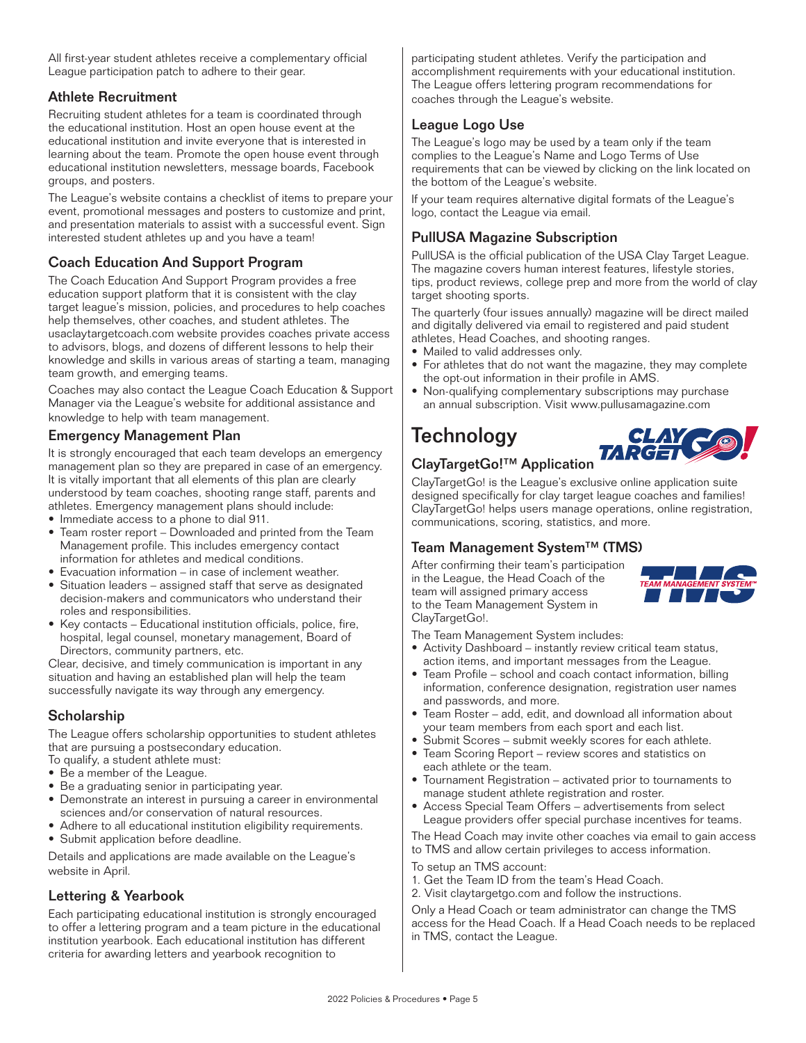All first-year student athletes receive a complementary official League participation patch to adhere to their gear.

### Athlete Recruitment

Recruiting student athletes for a team is coordinated through the educational institution. Host an open house event at the educational institution and invite everyone that is interested in learning about the team. Promote the open house event through educational institution newsletters, message boards, Facebook groups, and posters.

The League's website contains a checklist of items to prepare your event, promotional messages and posters to customize and print, and presentation materials to assist with a successful event. Sign interested student athletes up and you have a team!

### Coach Education And Support Program

The Coach Education And Support Program provides a free education support platform that it is consistent with the clay target league's mission, policies, and procedures to help coaches help themselves, other coaches, and student athletes. The usaclaytargetcoach.com website provides coaches private access to advisors, blogs, and dozens of different lessons to help their knowledge and skills in various areas of starting a team, managing team growth, and emerging teams.

Coaches may also contact the League Coach Education & Support Manager via the League's website for additional assistance and knowledge to help with team management.

### Emergency Management Plan

It is strongly encouraged that each team develops an emergency management plan so they are prepared in case of an emergency. It is vitally important that all elements of this plan are clearly understood by team coaches, shooting range staff, parents and athletes. Emergency management plans should include:

- Immediate access to a phone to dial 911.
- Team roster report Downloaded and printed from the Team Management profile. This includes emergency contact information for athletes and medical conditions.
- Evacuation information in case of inclement weather.
- Situation leaders assigned staff that serve as designated decision-makers and communicators who understand their roles and responsibilities.
- Key contacts Educational institution officials, police, fire, hospital, legal counsel, monetary management, Board of Directors, community partners, etc.

Clear, decisive, and timely communication is important in any situation and having an established plan will help the team successfully navigate its way through any emergency.

### **Scholarship**

The League offers scholarship opportunities to student athletes that are pursuing a postsecondary education.

- To qualify, a student athlete must:
- Be a member of the League.
- Be a graduating senior in participating year.
- Demonstrate an interest in pursuing a career in environmental sciences and/or conservation of natural resources.
- Adhere to all educational institution eligibility requirements. • Submit application before deadline.

Details and applications are made available on the League's website in April.

### Lettering & Yearbook

Each participating educational institution is strongly encouraged to offer a lettering program and a team picture in the educational institution yearbook. Each educational institution has different criteria for awarding letters and yearbook recognition to

participating student athletes. Verify the participation and accomplishment requirements with your educational institution. The League offers lettering program recommendations for coaches through the League's website.

### League Logo Use

The League's logo may be used by a team only if the team complies to the League's Name and Logo Terms of Use requirements that can be viewed by clicking on the link located on the bottom of the League's website.

If your team requires alternative digital formats of the League's logo, contact the League via email.

### PullUSA Magazine Subscription

PullUSA is the official publication of the USA Clay Target League. The magazine covers human interest features, lifestyle stories, tips, product reviews, college prep and more from the world of clay target shooting sports.

The quarterly (four issues annually) magazine will be direct mailed and digitally delivered via email to registered and paid student athletes, Head Coaches, and shooting ranges.

- Mailed to valid addresses only.
- For athletes that do not want the magazine, they may complete the opt-out information in their profile in AMS.
- Non-qualifying complementary subscriptions may purchase an annual subscription. Visit www.pullusamagazine.com

## **Technology**



### ClayTargetGo!™ Application

ClayTargetGo! is the League's exclusive online application suite designed specifically for clay target league coaches and families! ClayTargetGo! helps users manage operations, online registration, communications, scoring, statistics, and more.

### Team Management System™ (TMS)

After confirming their team's participation in the League, the Head Coach of the team will assigned primary access to the Team Management System in ClayTargetGo!.



The Team Management System includes:

- Activity Dashboard instantly review critical team status, action items, and important messages from the League.
- Team Profile school and coach contact information, billing information, conference designation, registration user names and passwords, and more.
- Team Roster add, edit, and download all information about your team members from each sport and each list.
- Submit Scores submit weekly scores for each athlete.
- Team Scoring Report review scores and statistics on each athlete or the team.
- Tournament Registration activated prior to tournaments to manage student athlete registration and roster.
- Access Special Team Offers advertisements from select League providers offer special purchase incentives for teams.

The Head Coach may invite other coaches via email to gain access to TMS and allow certain privileges to access information.

- To setup an TMS account:
- 1. Get the Team ID from the team's Head Coach.
- 2. Visit claytargetgo.com and follow the instructions.

Only a Head Coach or team administrator can change the TMS access for the Head Coach. If a Head Coach needs to be replaced in TMS, contact the League.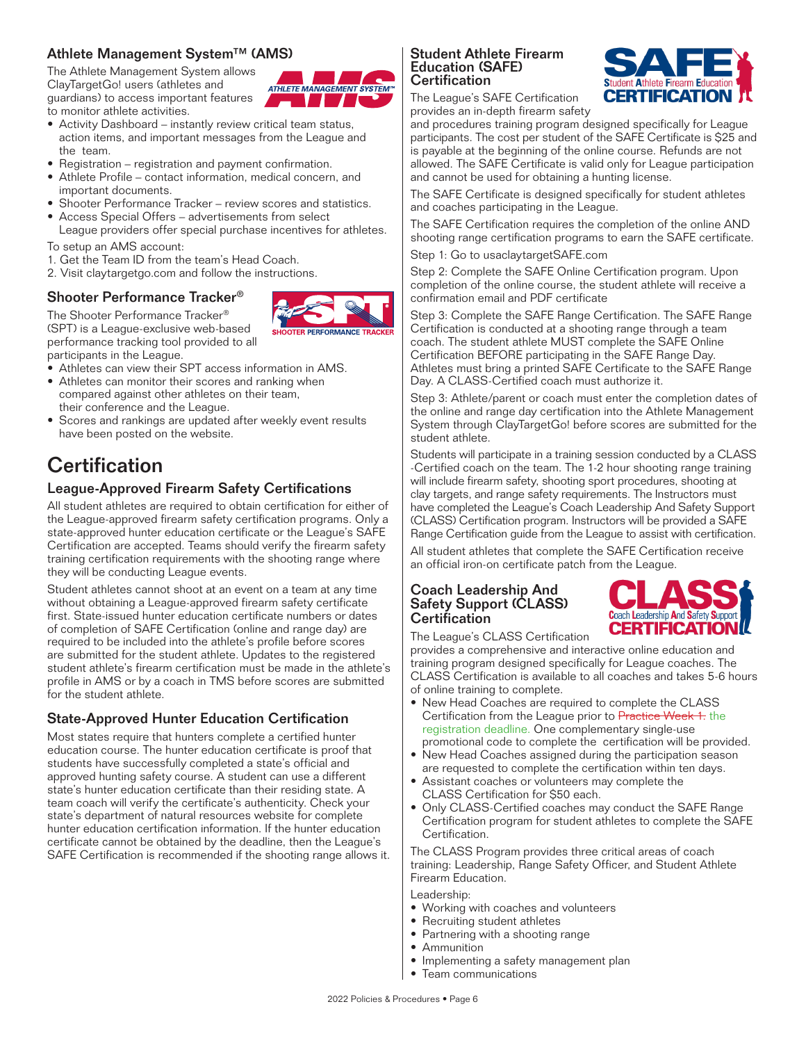### Athlete Management System™ (AMS)

The Athlete Management System allows ClayTargetGo! users (athletes and guardians) to access important features to monitor athlete activities.



- Activity Dashboard instantly review critical team status, action items, and important messages from the League and the team.
- Registration registration and payment confirmation.
- Athlete Profile contact information, medical concern, and important documents.
- Shooter Performance Tracker review scores and statistics.
- Access Special Offers advertisements from select League providers offer special purchase incentives for athletes.

To setup an AMS account:

- 1. Get the Team ID from the team's Head Coach.
- 2. Visit claytargetgo.com and follow the instructions.

### Shooter Performance Tracker®

The Shooter Performance Tracker® (SPT) is a League-exclusive web-based performance tracking tool provided to all participants in the League.

- Athletes can view their SPT access information in AMS.
- Athletes can monitor their scores and ranking when compared against other athletes on their team, their conference and the League.
- Scores and rankings are updated after weekly event results have been posted on the website.

### **Certification**

### League-Approved Firearm Safety Certifications

All student athletes are required to obtain certification for either of the League-approved firearm safety certification programs. Only a state-approved hunter education certificate or the League's SAFE Certification are accepted. Teams should verify the firearm safety training certification requirements with the shooting range where they will be conducting League events.

Student athletes cannot shoot at an event on a team at any time without obtaining a League-approved firearm safety certificate first. State-issued hunter education certificate numbers or dates of completion of SAFE Certification (online and range day) are required to be included into the athlete's profile before scores are submitted for the student athlete. Updates to the registered student athlete's firearm certification must be made in the athlete's profile in AMS or by a coach in TMS before scores are submitted for the student athlete.

### State-Approved Hunter Education Certification

Most states require that hunters complete a certified hunter education course. The hunter education certificate is proof that students have successfully completed a state's official and approved hunting safety course. A student can use a different state's hunter education certificate than their residing state. A team coach will verify the certificate's authenticity. Check your state's department of natural resources website for complete hunter education certification information. If the hunter education certificate cannot be obtained by the deadline, then the League's SAFE Certification is recommended if the shooting range allows it.

#### Student Athlete Firearm Education (SAFE) **Certification**



The League's SAFE Certification provides an in-depth firearm safety

and procedures training program designed specifically for League participants. The cost per student of the SAFE Certificate is \$25 and is payable at the beginning of the online course. Refunds are not allowed. The SAFE Certificate is valid only for League participation and cannot be used for obtaining a hunting license.

The SAFE Certificate is designed specifically for student athletes and coaches participating in the League.

The SAFE Certification requires the completion of the online AND shooting range certification programs to earn the SAFE certificate.

Step 1: Go to usaclaytargetSAFE.com

Step 2: Complete the SAFE Online Certification program. Upon completion of the online course, the student athlete will receive a confirmation email and PDF certificate

Step 3: Complete the SAFE Range Certification. The SAFE Range Certification is conducted at a shooting range through a team coach. The student athlete MUST complete the SAFE Online Certification BEFORE participating in the SAFE Range Day. Athletes must bring a printed SAFE Certificate to the SAFE Range Day. A CLASS-Certified coach must authorize it.

Step 3: Athlete/parent or coach must enter the completion dates of the online and range day certification into the Athlete Management System through ClayTargetGo! before scores are submitted for the student athlete.

Students will participate in a training session conducted by a CLASS -Certified coach on the team. The 1-2 hour shooting range training will include firearm safety, shooting sport procedures, shooting at clay targets, and range safety requirements. The Instructors must have completed the League's Coach Leadership And Safety Support (CLASS) Certification program. Instructors will be provided a SAFE Range Certification guide from the League to assist with certification.

All student athletes that complete the SAFE Certification receive an official iron-on certificate patch from the League.

#### Coach Leadership And Safety Support (CLASS) **Certification**



The League's CLASS Certification

provides a comprehensive and interactive online education and training program designed specifically for League coaches. The CLASS Certification is available to all coaches and takes 5-6 hours of online training to complete.

- New Head Coaches are required to complete the CLASS Certification from the League prior to Practice Week 1. the registration deadline. One complementary single-use promotional code to complete the certification will be provided.
- New Head Coaches assigned during the participation season are requested to complete the certification within ten days.
- Assistant coaches or volunteers may complete the CLASS Certification for \$50 each.
- Only CLASS-Certified coaches may conduct the SAFE Range Certification program for student athletes to complete the SAFE Certification.

The CLASS Program provides three critical areas of coach training: Leadership, Range Safety Officer, and Student Athlete Firearm Education.

#### Leadership:

- Working with coaches and volunteers
- Recruiting student athletes
- Partnering with a shooting range
- Ammunition
- Implementing a safety management plan
- Team communications

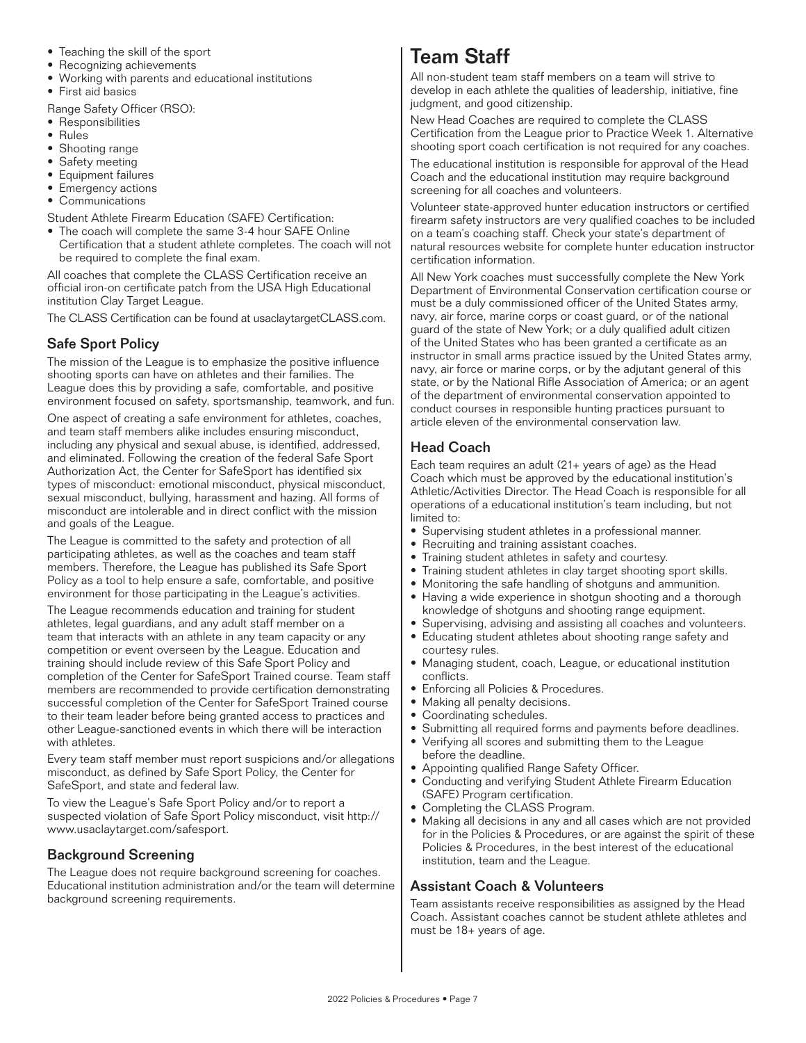- Teaching the skill of the sport
- Recognizing achievements
- Working with parents and educational institutions
- First aid basics

Range Safety Officer (RSO):

- Responsibilities
- Rules
- Shooting range
- Safety meeting
- Equipment failures
- Emergency actions
- Communications

Student Athlete Firearm Education (SAFE) Certification:

• The coach will complete the same 3-4 hour SAFE Online Certification that a student athlete completes. The coach will not be required to complete the final exam.

All coaches that complete the CLASS Certification receive an official iron-on certificate patch from the USA High Educational institution Clay Target League.

The CLASS Certification can be found at usaclaytargetCLASS.com.

### Safe Sport Policy

The mission of the League is to emphasize the positive influence shooting sports can have on athletes and their families. The League does this by providing a safe, comfortable, and positive environment focused on safety, sportsmanship, teamwork, and fun.

One aspect of creating a safe environment for athletes, coaches, and team staff members alike includes ensuring misconduct, including any physical and sexual abuse, is identified, addressed, and eliminated. Following the creation of the federal Safe Sport Authorization Act, the Center for SafeSport has identified six types of misconduct: emotional misconduct, physical misconduct, sexual misconduct, bullying, harassment and hazing. All forms of misconduct are intolerable and in direct conflict with the mission and goals of the League.

The League is committed to the safety and protection of all participating athletes, as well as the coaches and team staff members. Therefore, the League has published its Safe Sport Policy as a tool to help ensure a safe, comfortable, and positive environment for those participating in the League's activities.

The League recommends education and training for student athletes, legal guardians, and any adult staff member on a team that interacts with an athlete in any team capacity or any competition or event overseen by the League. Education and training should include review of this Safe Sport Policy and completion of the Center for SafeSport Trained course. Team staff members are recommended to provide certification demonstrating successful completion of the Center for SafeSport Trained course to their team leader before being granted access to practices and other League-sanctioned events in which there will be interaction with athletes.

Every team staff member must report suspicions and/or allegations misconduct, as defined by Safe Sport Policy, the Center for SafeSport, and state and federal law.

To view the League's Safe Sport Policy and/or to report a suspected violation of Safe Sport Policy misconduct, visit http:// www.usaclaytarget.com/safesport.

### Background Screening

The League does not require background screening for coaches. Educational institution administration and/or the team will determine background screening requirements.

### Team Staff

All non-student team staff members on a team will strive to develop in each athlete the qualities of leadership, initiative, fine judgment, and good citizenship.

New Head Coaches are required to complete the CLASS Certification from the League prior to Practice Week 1. Alternative shooting sport coach certification is not required for any coaches.

The educational institution is responsible for approval of the Head Coach and the educational institution may require background screening for all coaches and volunteers.

Volunteer state-approved hunter education instructors or certified firearm safety instructors are very qualified coaches to be included on a team's coaching staff. Check your state's department of natural resources website for complete hunter education instructor certification information.

All New York coaches must successfully complete the New York Department of Environmental Conservation certification course or must be a duly commissioned officer of the United States army, navy, air force, marine corps or coast guard, or of the national guard of the state of New York; or a duly qualified adult citizen of the United States who has been granted a certificate as an instructor in small arms practice issued by the United States army, navy, air force or marine corps, or by the adjutant general of this state, or by the National Rifle Association of America; or an agent of the department of environmental conservation appointed to conduct courses in responsible hunting practices pursuant to article eleven of the environmental conservation law.

### Head Coach

Each team requires an adult (21+ years of age) as the Head Coach which must be approved by the educational institution's Athletic/Activities Director. The Head Coach is responsible for all operations of a educational institution's team including, but not limited to:

- Supervising student athletes in a professional manner.
- Recruiting and training assistant coaches.
- Training student athletes in safety and courtesy.
- Training student athletes in clay target shooting sport skills.
- Monitoring the safe handling of shotguns and ammunition.
- Having a wide experience in shotgun shooting and a thorough knowledge of shotguns and shooting range equipment.
- Supervising, advising and assisting all coaches and volunteers.
- Educating student athletes about shooting range safety and courtesy rules.
- Managing student, coach, League, or educational institution conflicts.
- Enforcing all Policies & Procedures.
- Making all penalty decisions.
- Coordinating schedules.
- Submitting all required forms and payments before deadlines.
- Verifying all scores and submitting them to the League before the deadline.
- Appointing qualified Range Safety Officer.
- Conducting and verifying Student Athlete Firearm Education (SAFE) Program certification.
- Completing the CLASS Program.
- Making all decisions in any and all cases which are not provided for in the Policies & Procedures, or are against the spirit of these Policies & Procedures, in the best interest of the educational institution, team and the League.

### Assistant Coach & Volunteers

Team assistants receive responsibilities as assigned by the Head Coach. Assistant coaches cannot be student athlete athletes and must be 18+ years of age.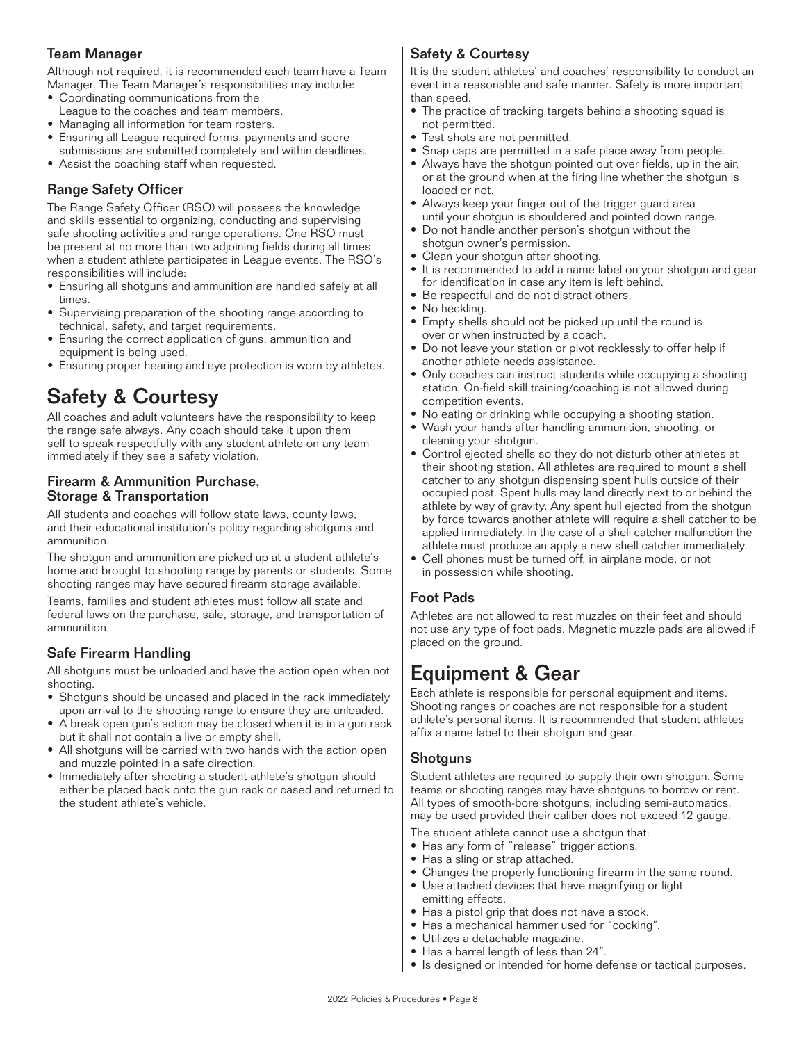### Team Manager

Although not required, it is recommended each team have a Team Manager. The Team Manager's responsibilities may include:

- Coordinating communications from the
- League to the coaches and team members.
- Managing all information for team rosters. • Ensuring all League required forms, payments and score
- submissions are submitted completely and within deadlines.
- Assist the coaching staff when requested.

### Range Safety Officer

The Range Safety Officer (RSO) will possess the knowledge and skills essential to organizing, conducting and supervising safe shooting activities and range operations. One RSO must be present at no more than two adjoining fields during all times when a student athlete participates in League events. The RSO's responsibilities will include:

- Ensuring all shotguns and ammunition are handled safely at all times.
- Supervising preparation of the shooting range according to technical, safety, and target requirements.
- Ensuring the correct application of guns, ammunition and equipment is being used.
- Ensuring proper hearing and eye protection is worn by athletes.

### Safety & Courtesy

All coaches and adult volunteers have the responsibility to keep the range safe always. Any coach should take it upon them self to speak respectfully with any student athlete on any team immediately if they see a safety violation.

#### Firearm & Ammunition Purchase, Storage & Transportation

All students and coaches will follow state laws, county laws, and their educational institution's policy regarding shotguns and ammunition.

The shotgun and ammunition are picked up at a student athlete's home and brought to shooting range by parents or students. Some shooting ranges may have secured firearm storage available.

Teams, families and student athletes must follow all state and federal laws on the purchase, sale, storage, and transportation of ammunition.

### Safe Firearm Handling

All shotguns must be unloaded and have the action open when not shooting.

- Shotguns should be uncased and placed in the rack immediately upon arrival to the shooting range to ensure they are unloaded.
- A break open gun's action may be closed when it is in a gun rack but it shall not contain a live or empty shell.
- All shotguns will be carried with two hands with the action open and muzzle pointed in a safe direction.
- Immediately after shooting a student athlete's shotgun should either be placed back onto the gun rack or cased and returned to the student athlete's vehicle.

### Safety & Courtesy

It is the student athletes' and coaches' responsibility to conduct an event in a reasonable and safe manner. Safety is more important than sneed.

- The practice of tracking targets behind a shooting squad is not permitted.
- Test shots are not permitted.
- Snap caps are permitted in a safe place away from people.
- Always have the shotgun pointed out over fields, up in the air, or at the ground when at the firing line whether the shotgun is loaded or not.
- Always keep your finger out of the trigger guard area until your shotgun is shouldered and pointed down range.
- Do not handle another person's shotgun without the shotgun owner's permission.
- Clean your shotgun after shooting.
- It is recommended to add a name label on your shotgun and gear for identification in case any item is left behind.
- Be respectful and do not distract others.
- No heckling.
- Empty shells should not be picked up until the round is over or when instructed by a coach.
- Do not leave your station or pivot recklessly to offer help if another athlete needs assistance.
- Only coaches can instruct students while occupying a shooting station. On-field skill training/coaching is not allowed during competition events.
- No eating or drinking while occupying a shooting station.
- Wash your hands after handling ammunition, shooting, or cleaning your shotgun.
- Control ejected shells so they do not disturb other athletes at their shooting station. All athletes are required to mount a shell catcher to any shotgun dispensing spent hulls outside of their occupied post. Spent hulls may land directly next to or behind the athlete by way of gravity. Any spent hull ejected from the shotgun by force towards another athlete will require a shell catcher to be applied immediately. In the case of a shell catcher malfunction the athlete must produce an apply a new shell catcher immediately.
- Cell phones must be turned off, in airplane mode, or not in possession while shooting.

### Foot Pads

Athletes are not allowed to rest muzzles on their feet and should not use any type of foot pads. Magnetic muzzle pads are allowed if placed on the ground.

### Equipment & Gear

Each athlete is responsible for personal equipment and items. Shooting ranges or coaches are not responsible for a student athlete's personal items. It is recommended that student athletes affix a name label to their shotgun and gear.

### **Shotguns**

Student athletes are required to supply their own shotgun. Some teams or shooting ranges may have shotguns to borrow or rent. All types of smooth-bore shotguns, including semi-automatics, may be used provided their caliber does not exceed 12 gauge.

The student athlete cannot use a shotgun that:

- Has any form of "release" trigger actions.
- Has a sling or strap attached.
- Changes the properly functioning firearm in the same round.
- Use attached devices that have magnifying or light emitting effects.
- Has a pistol grip that does not have a stock.
- Has a mechanical hammer used for "cocking".
- Utilizes a detachable magazine.
- Has a barrel length of less than 24".
- Is designed or intended for home defense or tactical purposes.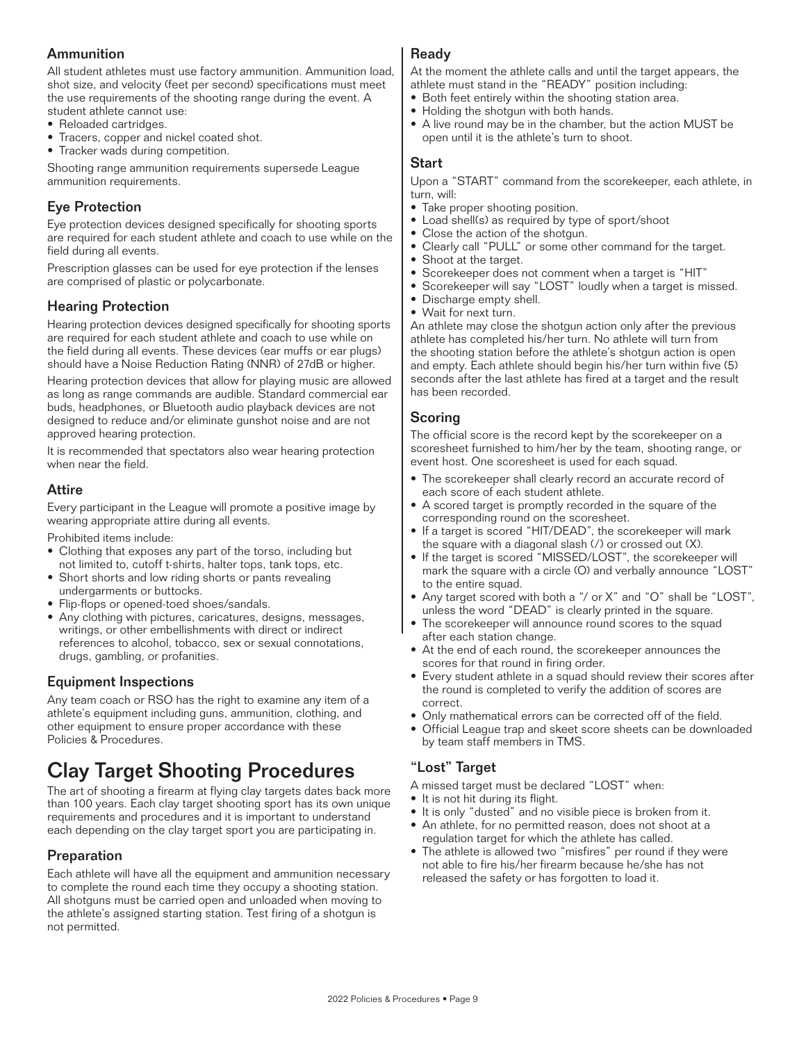### **Ammunition**

All student athletes must use factory ammunition. Ammunition load, shot size, and velocity (feet per second) specifications must meet the use requirements of the shooting range during the event. A

- student athlete cannot use: • Reloaded cartridges.
- Tracers, copper and nickel coated shot.
- Tracker wads during competition.

Shooting range ammunition requirements supersede League ammunition requirements.

### Eye Protection

Eye protection devices designed specifically for shooting sports are required for each student athlete and coach to use while on the field during all events.

Prescription glasses can be used for eye protection if the lenses are comprised of plastic or polycarbonate.

### Hearing Protection

Hearing protection devices designed specifically for shooting sports are required for each student athlete and coach to use while on the field during all events. These devices (ear muffs or ear plugs) should have a Noise Reduction Rating (NNR) of 27dB or higher.

Hearing protection devices that allow for playing music are allowed as long as range commands are audible. Standard commercial ear buds, headphones, or Bluetooth audio playback devices are not designed to reduce and/or eliminate gunshot noise and are not approved hearing protection.

It is recommended that spectators also wear hearing protection when near the field.

### Attire

Every participant in the League will promote a positive image by wearing appropriate attire during all events.

Prohibited items include:

- Clothing that exposes any part of the torso, including but not limited to, cutoff t-shirts, halter tops, tank tops, etc.
- Short shorts and low riding shorts or pants revealing undergarments or buttocks.
- Flip-flops or opened-toed shoes/sandals.
- Any clothing with pictures, caricatures, designs, messages, writings, or other embellishments with direct or indirect references to alcohol, tobacco, sex or sexual connotations, drugs, gambling, or profanities.

### Equipment Inspections

Any team coach or RSO has the right to examine any item of a athlete's equipment including guns, ammunition, clothing, and other equipment to ensure proper accordance with these Policies & Procedures.

### Clay Target Shooting Procedures

The art of shooting a firearm at flying clay targets dates back more than 100 years. Each clay target shooting sport has its own unique requirements and procedures and it is important to understand each depending on the clay target sport you are participating in.

### Preparation

Each athlete will have all the equipment and ammunition necessary to complete the round each time they occupy a shooting station. All shotguns must be carried open and unloaded when moving to the athlete's assigned starting station. Test firing of a shotgun is not permitted.

### **Ready**

At the moment the athlete calls and until the target appears, the athlete must stand in the "READY" position including:

- Both feet entirely within the shooting station area.
- Holding the shotgun with both hands.
- A live round may be in the chamber, but the action MUST be open until it is the athlete's turn to shoot.

### Start

Upon a "START" command from the scorekeeper, each athlete, in turn, will:

- Take proper shooting position.
- Load shell(s) as required by type of sport/shoot
- Close the action of the shotgun.
- Clearly call "PULL" or some other command for the target. • Shoot at the target.
	-
- Scorekeeper does not comment when a target is "HIT"
- Scorekeeper will say "LOST" loudly when a target is missed.
- Discharge empty shell.
- Wait for next turn.

An athlete may close the shotgun action only after the previous athlete has completed his/her turn. No athlete will turn from the shooting station before the athlete's shotgun action is open and empty. Each athlete should begin his/her turn within five (5) seconds after the last athlete has fired at a target and the result has been recorded.

#### Scoring

The official score is the record kept by the scorekeeper on a scoresheet furnished to him/her by the team, shooting range, or event host. One scoresheet is used for each squad.

- The scorekeeper shall clearly record an accurate record of each score of each student athlete.
- A scored target is promptly recorded in the square of the corresponding round on the scoresheet.
- If a target is scored "HIT/DEAD", the scorekeeper will mark the square with a diagonal slash (/) or crossed out (X).
- If the target is scored "MISSED/LOST", the scorekeeper will mark the square with a circle (O) and verbally announce "LOST" to the entire squad.
- Any target scored with both a "/ or X" and "O" shall be "LOST", unless the word "DEAD" is clearly printed in the square.
- The scorekeeper will announce round scores to the squad after each station change.
- At the end of each round, the scorekeeper announces the scores for that round in firing order.
- Every student athlete in a squad should review their scores after the round is completed to verify the addition of scores are correct.
- Only mathematical errors can be corrected off of the field.
- Official League trap and skeet score sheets can be downloaded by team staff members in TMS.

### "Lost" Target

- A missed target must be declared "LOST" when:
- It is not hit during its flight.
- It is only "dusted" and no visible piece is broken from it.
- An athlete, for no permitted reason, does not shoot at a regulation target for which the athlete has called.
- The athlete is allowed two "misfires" per round if they were not able to fire his/her firearm because he/she has not released the safety or has forgotten to load it.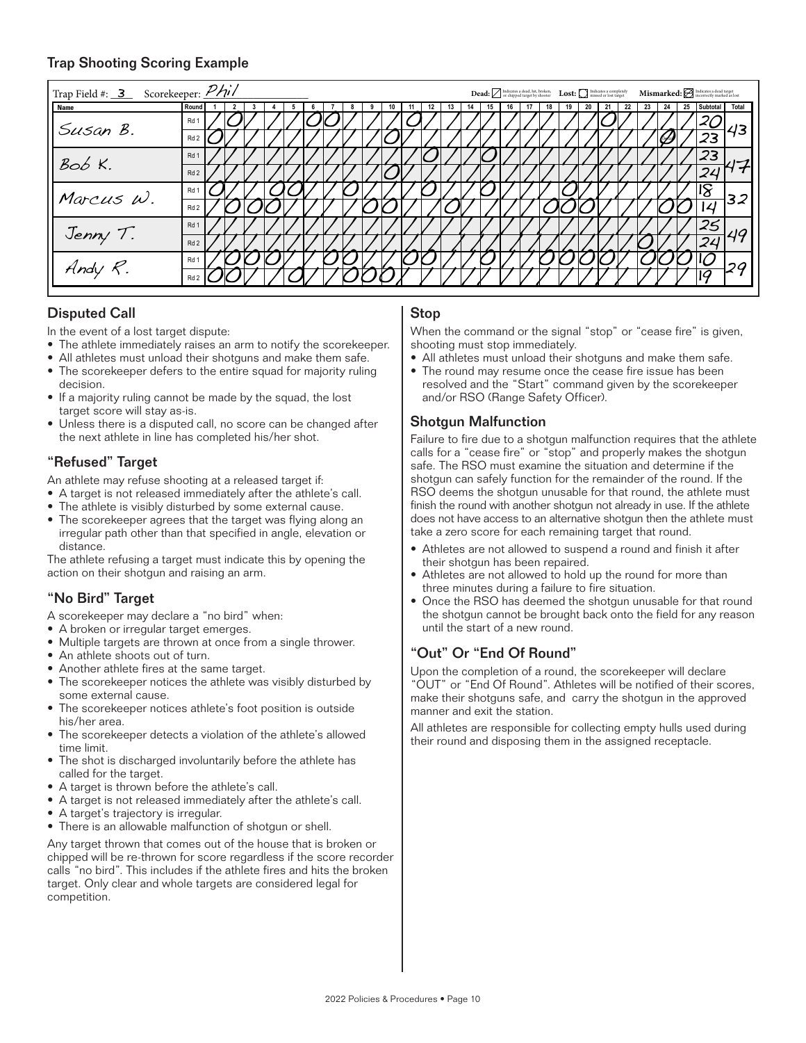### Trap Shooting Scoring Example

| Trap Field #: 3 Scorekeeper: Phil |                 | $\textbf{Dead: } \fbox{{} {indicates a dead, hit, broken,} \quad \textbf{Lost:} \bigcirc \textbf{in} \textit{indicates a completely} \quad \textbf{Mismarked:} \; \fbox{{} {indicates a code target} \quad \textit{in} \textit{c} \textit{not} \textit{not} \textit{not} \textit{not} \textit{not} \textit{not} \textit{not} \textit{not} \textit{not} \textit{not} \textit{not} \textit{not} \textit{not} \textit{not} \textit{not} \textit{not} \textit{not} \textit{not} \textit{not} \textit{not} \textit{not} \textit$ |
|-----------------------------------|-----------------|-----------------------------------------------------------------------------------------------------------------------------------------------------------------------------------------------------------------------------------------------------------------------------------------------------------------------------------------------------------------------------------------------------------------------------------------------------------------------------------------------------------------------------|
| <b>Name</b>                       | Round           | 23<br>Total<br>Subtotal<br>25                                                                                                                                                                                                                                                                                                                                                                                                                                                                                               |
| Susan B.                          | Rd 1            | 43                                                                                                                                                                                                                                                                                                                                                                                                                                                                                                                          |
|                                   | Rd <sub>2</sub> | 23                                                                                                                                                                                                                                                                                                                                                                                                                                                                                                                          |
| $BobK$ .                          | Rd <sub>1</sub> | 23                                                                                                                                                                                                                                                                                                                                                                                                                                                                                                                          |
|                                   | Rd <sub>2</sub> | 24                                                                                                                                                                                                                                                                                                                                                                                                                                                                                                                          |
| Marcus W.                         | Rd <sub>1</sub> |                                                                                                                                                                                                                                                                                                                                                                                                                                                                                                                             |
|                                   | Rd <sub>2</sub> | 32                                                                                                                                                                                                                                                                                                                                                                                                                                                                                                                          |
| Jenny T.                          | Rd <sub>1</sub> |                                                                                                                                                                                                                                                                                                                                                                                                                                                                                                                             |
|                                   | Rd <sub>2</sub> | 24                                                                                                                                                                                                                                                                                                                                                                                                                                                                                                                          |
|                                   | Rd <sub>1</sub> | 2G                                                                                                                                                                                                                                                                                                                                                                                                                                                                                                                          |
|                                   | Rd <sub>2</sub> |                                                                                                                                                                                                                                                                                                                                                                                                                                                                                                                             |

### Disputed Call

In the event of a lost target dispute:

- The athlete immediately raises an arm to notify the scorekeeper.
- All athletes must unload their shotguns and make them safe.
- The scorekeeper defers to the entire squad for majority ruling decision.
- If a majority ruling cannot be made by the squad, the lost target score will stay as-is.
- Unless there is a disputed call, no score can be changed after the next athlete in line has completed his/her shot.

### "Refused" Target

An athlete may refuse shooting at a released target if:

- A target is not released immediately after the athlete's call.
- The athlete is visibly disturbed by some external cause.
- The scorekeeper agrees that the target was flying along an irregular path other than that specified in angle, elevation or distance.

The athlete refusing a target must indicate this by opening the action on their shotgun and raising an arm.

### "No Bird" Target

A scorekeeper may declare a "no bird" when:

- A broken or irregular target emerges.
- Multiple targets are thrown at once from a single thrower.
- An athlete shoots out of turn.
- Another athlete fires at the same target.
- The scorekeeper notices the athlete was visibly disturbed by some external cause.
- The scorekeeper notices athlete's foot position is outside his/her area.
- The scorekeeper detects a violation of the athlete's allowed time limit.
- The shot is discharged involuntarily before the athlete has called for the target.
- A target is thrown before the athlete's call.
- A target is not released immediately after the athlete's call.
- A target's trajectory is irregular.
- There is an allowable malfunction of shotgun or shell.

Any target thrown that comes out of the house that is broken or chipped will be re-thrown for score regardless if the score recorder calls "no bird". This includes if the athlete fires and hits the broken target. Only clear and whole targets are considered legal for competition.

#### **Stop**

When the command or the signal "stop" or "cease fire" is given, shooting must stop immediately.

- All athletes must unload their shotguns and make them safe.
- The round may resume once the cease fire issue has been resolved and the "Start" command given by the scorekeeper and/or RSO (Range Safety Officer).

### Shotgun Malfunction

Failure to fire due to a shotgun malfunction requires that the athlete calls for a "cease fire" or "stop" and properly makes the shotgun safe. The RSO must examine the situation and determine if the shotgun can safely function for the remainder of the round. If the RSO deems the shotgun unusable for that round, the athlete must finish the round with another shotgun not already in use. If the athlete does not have access to an alternative shotgun then the athlete must take a zero score for each remaining target that round.

- Athletes are not allowed to suspend a round and finish it after their shotgun has been repaired.
- Athletes are not allowed to hold up the round for more than three minutes during a failure to fire situation.
- Once the RSO has deemed the shotgun unusable for that round the shotgun cannot be brought back onto the field for any reason until the start of a new round.

### "Out" Or "End Of Round"

Upon the completion of a round, the scorekeeper will declare "OUT" or "End Of Round". Athletes will be notified of their scores, make their shotguns safe, and carry the shotgun in the approved manner and exit the station.

All athletes are responsible for collecting empty hulls used during their round and disposing them in the assigned receptacle.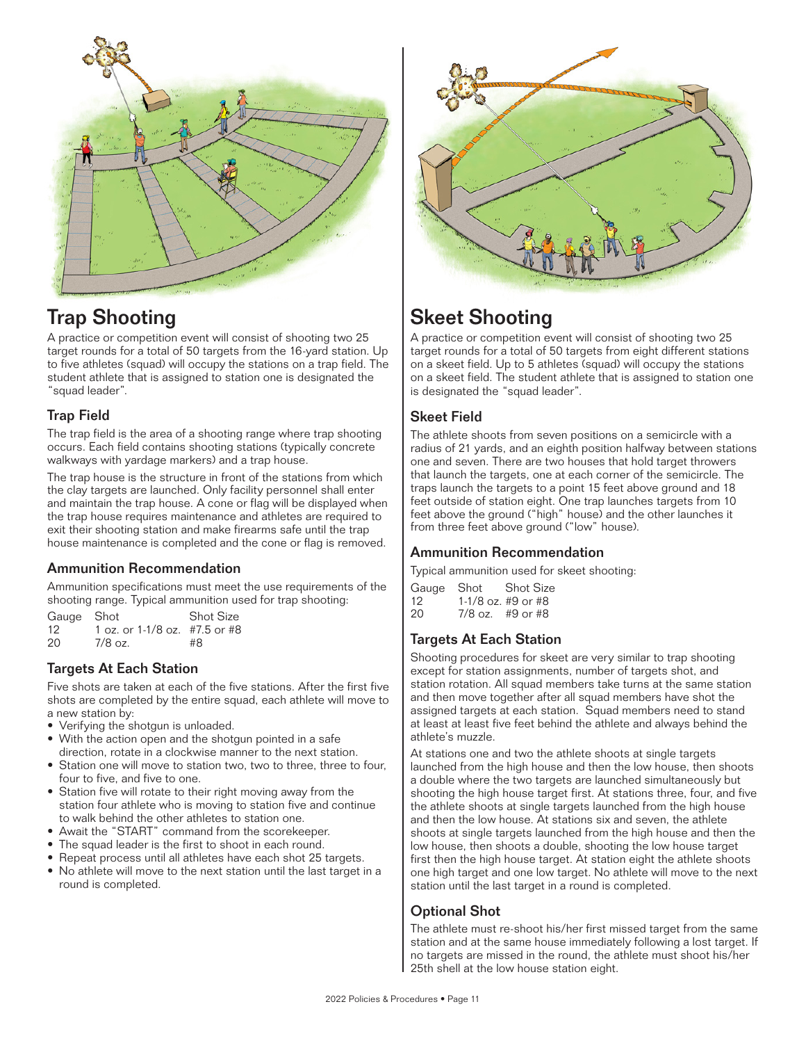



A practice or competition event will consist of shooting two 25 target rounds for a total of 50 targets from the 16-yard station. Up to five athletes (squad) will occupy the stations on a trap field. The student athlete that is assigned to station one is designated the "squad leader".

### Trap Field

The trap field is the area of a shooting range where trap shooting occurs. Each field contains shooting stations (typically concrete walkways with yardage markers) and a trap house.

The trap house is the structure in front of the stations from which the clay targets are launched. Only facility personnel shall enter and maintain the trap house. A cone or flag will be displayed when the trap house requires maintenance and athletes are required to exit their shooting station and make firearms safe until the trap house maintenance is completed and the cone or flag is removed.

### Ammunition Recommendation

Ammunition specifications must meet the use requirements of the shooting range. Typical ammunition used for trap shooting:

Gauge Shot Shot Size<br>12 1 oz. or 1-1/8 oz. #7.5 or #8 12 1 oz. or 1-1/8 oz. #7.5 or #8<br>20 7/8 oz. #8  $7/8$  oz.

### Targets At Each Station

Five shots are taken at each of the five stations. After the first five shots are completed by the entire squad, each athlete will move to a new station by:

- Verifying the shotgun is unloaded.
- With the action open and the shotgun pointed in a safe direction, rotate in a clockwise manner to the next station.
- Station one will move to station two, two to three, three to four, four to five, and five to one.
- Station five will rotate to their right moving away from the station four athlete who is moving to station five and continue to walk behind the other athletes to station one.
- Await the "START" command from the scorekeeper.
- The squad leader is the first to shoot in each round.
- Repeat process until all athletes have each shot 25 targets.
- No athlete will move to the next station until the last target in a round is completed.



### Skeet Shooting

A practice or competition event will consist of shooting two 25 target rounds for a total of 50 targets from eight different stations on a skeet field. Up to 5 athletes (squad) will occupy the stations on a skeet field. The student athlete that is assigned to station one is designated the "squad leader".

### Skeet Field

The athlete shoots from seven positions on a semicircle with a radius of 21 yards, and an eighth position halfway between stations one and seven. There are two houses that hold target throwers that launch the targets, one at each corner of the semicircle. The traps launch the targets to a point 15 feet above ground and 18 feet outside of station eight. One trap launches targets from 10 feet above the ground ("high" house) and the other launches it from three feet above ground ("low" house).

### Ammunition Recommendation

Typical ammunition used for skeet shooting:

|     | Gauge Shot | <b>Shot Size</b>   |
|-----|------------|--------------------|
| 12. |            | 1-1/8 oz. #9 or #8 |
| 20  |            | $7/8$ oz. #9 or #8 |

### Targets At Each Station

Shooting procedures for skeet are very similar to trap shooting except for station assignments, number of targets shot, and station rotation. All squad members take turns at the same station and then move together after all squad members have shot the assigned targets at each station. Squad members need to stand at least at least five feet behind the athlete and always behind the athlete's muzzle.

At stations one and two the athlete shoots at single targets launched from the high house and then the low house, then shoots a double where the two targets are launched simultaneously but shooting the high house target first. At stations three, four, and five the athlete shoots at single targets launched from the high house and then the low house. At stations six and seven, the athlete shoots at single targets launched from the high house and then the low house, then shoots a double, shooting the low house target first then the high house target. At station eight the athlete shoots one high target and one low target. No athlete will move to the next station until the last target in a round is completed.

### Optional Shot

The athlete must re-shoot his/her first missed target from the same station and at the same house immediately following a lost target. If no targets are missed in the round, the athlete must shoot his/her 25th shell at the low house station eight.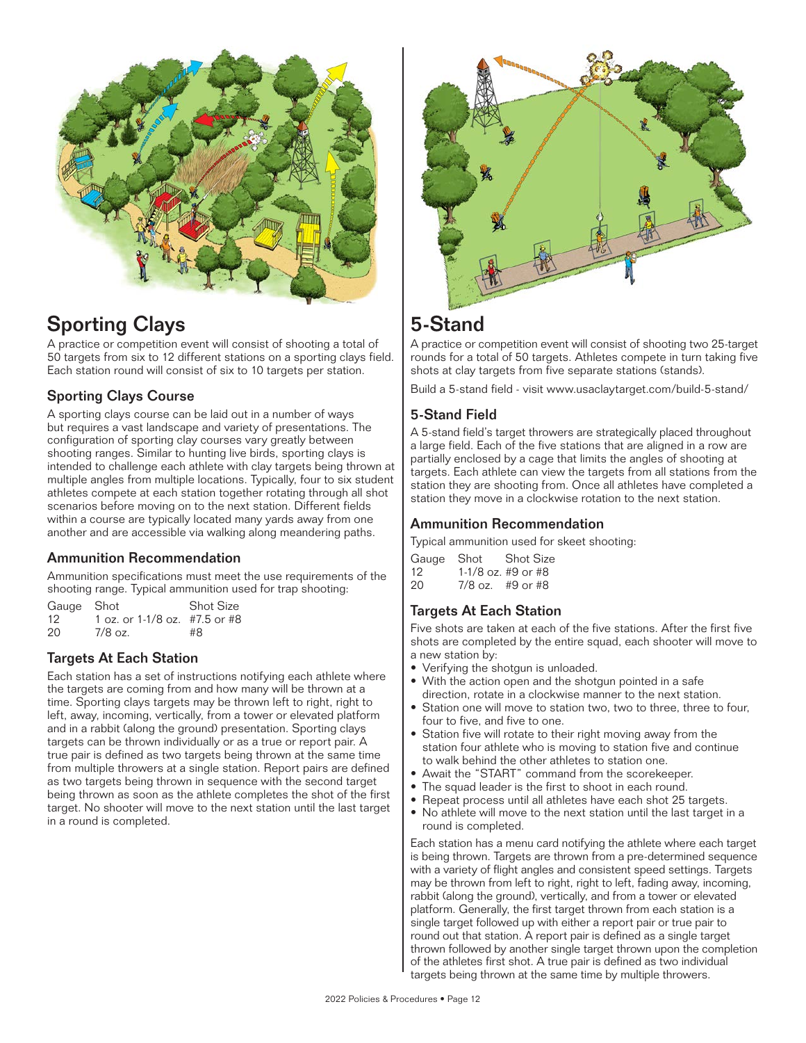

### Sporting Clays

A practice or competition event will consist of shooting a total of 50 targets from six to 12 different stations on a sporting clays field. Each station round will consist of six to 10 targets per station.

### Sporting Clays Course

A sporting clays course can be laid out in a number of ways but requires a vast landscape and variety of presentations. The configuration of sporting clay courses vary greatly between shooting ranges. Similar to hunting live birds, sporting clays is intended to challenge each athlete with clay targets being thrown at multiple angles from multiple locations. Typically, four to six student athletes compete at each station together rotating through all shot scenarios before moving on to the next station. Different fields within a course are typically located many yards away from one another and are accessible via walking along meandering paths.

### Ammunition Recommendation

Ammunition specifications must meet the use requirements of the shooting range. Typical ammunition used for trap shooting:

| Gauge Shot |                               | <b>Shot Size</b> |
|------------|-------------------------------|------------------|
| 12         | 1 oz. or 1-1/8 oz. #7.5 or #8 |                  |
| 20         | $7/8$ oz.                     | #8               |

### Targets At Each Station

Each station has a set of instructions notifying each athlete where the targets are coming from and how many will be thrown at a time. Sporting clays targets may be thrown left to right, right to left, away, incoming, vertically, from a tower or elevated platform and in a rabbit (along the ground) presentation. Sporting clays targets can be thrown individually or as a true or report pair. A true pair is defined as two targets being thrown at the same time from multiple throwers at a single station. Report pairs are defined as two targets being thrown in sequence with the second target being thrown as soon as the athlete completes the shot of the first target. No shooter will move to the next station until the last target in a round is completed.



### 5-Stand

A practice or competition event will consist of shooting two 25-target rounds for a total of 50 targets. Athletes compete in turn taking five shots at clay targets from five separate stations (stands).

Build a 5-stand field - visit www.usaclaytarget.com/build-5-stand/

### 5-Stand Field

A 5-stand field's target throwers are strategically placed throughout a large field. Each of the five stations that are aligned in a row are partially enclosed by a cage that limits the angles of shooting at targets. Each athlete can view the targets from all stations from the station they are shooting from. Once all athletes have completed a station they move in a clockwise rotation to the next station.

### Ammunition Recommendation

Typical ammunition used for skeet shooting:

|     | Gauge Shot | <b>Shot Size</b>   |
|-----|------------|--------------------|
| 12. |            | 1-1/8 oz. #9 or #8 |
| 20  |            | $7/8$ oz. #9 or #8 |

### Targets At Each Station

Five shots are taken at each of the five stations. After the first five shots are completed by the entire squad, each shooter will move to a new station by:

- Verifying the shotgun is unloaded.
- With the action open and the shotgun pointed in a safe direction, rotate in a clockwise manner to the next station.
- Station one will move to station two, two to three, three to four, four to five, and five to one.
- Station five will rotate to their right moving away from the station four athlete who is moving to station five and continue to walk behind the other athletes to station one.
- Await the "START" command from the scorekeeper.
- The squad leader is the first to shoot in each round.
- Repeat process until all athletes have each shot 25 targets.
- No athlete will move to the next station until the last target in a round is completed.

Each station has a menu card notifying the athlete where each target is being thrown. Targets are thrown from a pre-determined sequence with a variety of flight angles and consistent speed settings. Targets may be thrown from left to right, right to left, fading away, incoming, rabbit (along the ground), vertically, and from a tower or elevated platform. Generally, the first target thrown from each station is a single target followed up with either a report pair or true pair to round out that station. A report pair is defined as a single target thrown followed by another single target thrown upon the completion of the athletes first shot. A true pair is defined as two individual targets being thrown at the same time by multiple throwers.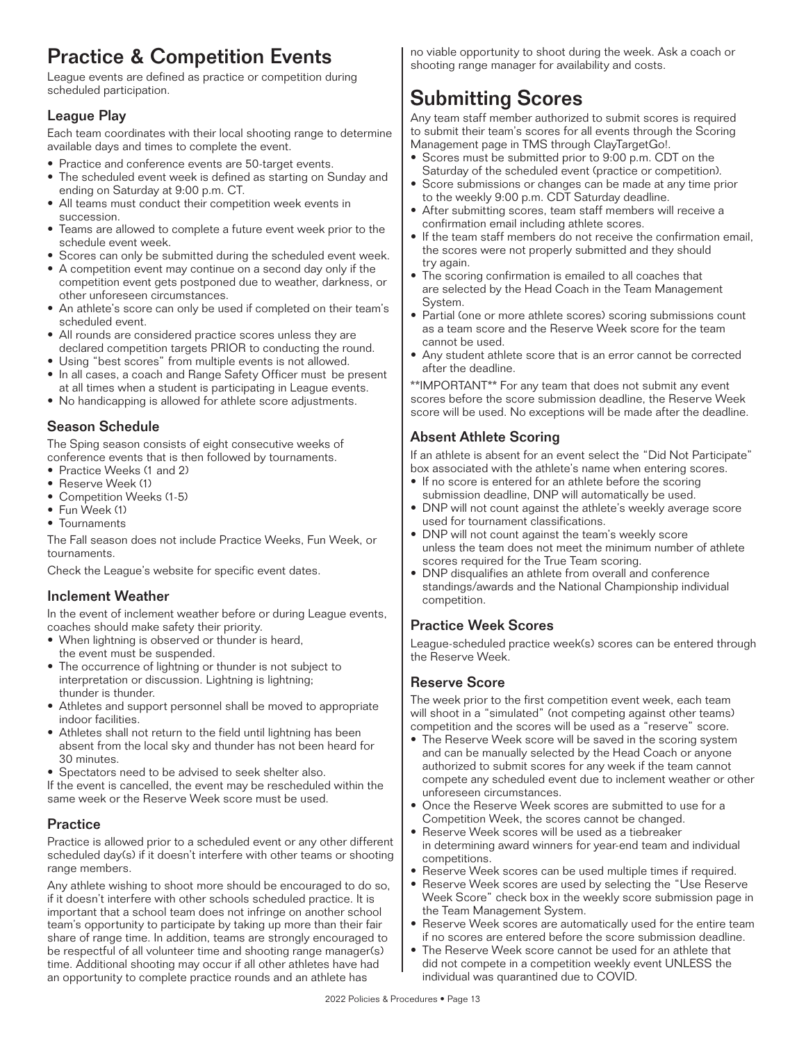### Practice & Competition Events

League events are defined as practice or competition during scheduled participation.

### League Play

Each team coordinates with their local shooting range to determine available days and times to complete the event.

- Practice and conference events are 50-target events.
- The scheduled event week is defined as starting on Sunday and ending on Saturday at 9:00 p.m. CT.
- All teams must conduct their competition week events in succession.
- Teams are allowed to complete a future event week prior to the schedule event week.
- Scores can only be submitted during the scheduled event week.
- A competition event may continue on a second day only if the competition event gets postponed due to weather, darkness, or other unforeseen circumstances.
- An athlete's score can only be used if completed on their team's scheduled event.
- All rounds are considered practice scores unless they are declared competition targets PRIOR to conducting the round.
- Using "best scores" from multiple events is not allowed.
- In all cases, a coach and Range Safety Officer must be present at all times when a student is participating in League events.
- No handicapping is allowed for athlete score adjustments.

### Season Schedule

The Sping season consists of eight consecutive weeks of conference events that is then followed by tournaments.

- Practice Weeks (1 and 2)
- Reserve Week (1)
- Competition Weeks (1-5)
- Fun Week (1)
- Tournaments

The Fall season does not include Practice Weeks, Fun Week, or tournaments.

Check the League's website for specific event dates.

### Inclement Weather

In the event of inclement weather before or during League events, coaches should make safety their priority.

- When lightning is observed or thunder is heard, the event must be suspended.
- The occurrence of lightning or thunder is not subject to interpretation or discussion. Lightning is lightning; thunder is thunder.
- Athletes and support personnel shall be moved to appropriate indoor facilities.
- Athletes shall not return to the field until lightning has been absent from the local sky and thunder has not been heard for 30 minutes.
- Spectators need to be advised to seek shelter also.

If the event is cancelled, the event may be rescheduled within the same week or the Reserve Week score must be used.

### **Practice**

Practice is allowed prior to a scheduled event or any other different scheduled day(s) if it doesn't interfere with other teams or shooting range members.

Any athlete wishing to shoot more should be encouraged to do so, if it doesn't interfere with other schools scheduled practice. It is important that a school team does not infringe on another school team's opportunity to participate by taking up more than their fair share of range time. In addition, teams are strongly encouraged to be respectful of all volunteer time and shooting range manager(s) time. Additional shooting may occur if all other athletes have had an opportunity to complete practice rounds and an athlete has

no viable opportunity to shoot during the week. Ask a coach or shooting range manager for availability and costs.

### Submitting Scores

Any team staff member authorized to submit scores is required to submit their team's scores for all events through the Scoring Management page in TMS through ClayTargetGo!.

- Scores must be submitted prior to 9:00 p.m. CDT on the Saturday of the scheduled event (practice or competition).
- Score submissions or changes can be made at any time prior to the weekly 9:00 p.m. CDT Saturday deadline.
- After submitting scores, team staff members will receive a confirmation email including athlete scores.
- If the team staff members do not receive the confirmation email, the scores were not properly submitted and they should try again.
- The scoring confirmation is emailed to all coaches that are selected by the Head Coach in the Team Management System.
- Partial (one or more athlete scores) scoring submissions count as a team score and the Reserve Week score for the team cannot be used.
- Any student athlete score that is an error cannot be corrected after the deadline.

\*\*IMPORTANT\*\* For any team that does not submit any event scores before the score submission deadline, the Reserve Week score will be used. No exceptions will be made after the deadline.

### Absent Athlete Scoring

If an athlete is absent for an event select the "Did Not Participate" box associated with the athlete's name when entering scores.

- If no score is entered for an athlete before the scoring submission deadline, DNP will automatically be used.
- DNP will not count against the athlete's weekly average score used for tournament classifications.
- DNP will not count against the team's weekly score unless the team does not meet the minimum number of athlete scores required for the True Team scoring.
- DNP disqualifies an athlete from overall and conference standings/awards and the National Championship individual competition.

### Practice Week Scores

League-scheduled practice week(s) scores can be entered through the Reserve Week.

### Reserve Score

The week prior to the first competition event week, each team will shoot in a "simulated" (not competing against other teams) competition and the scores will be used as a "reserve" score.

- The Reserve Week score will be saved in the scoring system and can be manually selected by the Head Coach or anyone authorized to submit scores for any week if the team cannot compete any scheduled event due to inclement weather or other unforeseen circumstances.
- Once the Reserve Week scores are submitted to use for a Competition Week, the scores cannot be changed.
- Reserve Week scores will be used as a tiebreaker in determining award winners for year-end team and individual competitions.
- Reserve Week scores can be used multiple times if required.
- Reserve Week scores are used by selecting the "Use Reserve Week Score" check box in the weekly score submission page in the Team Management System.
- Reserve Week scores are automatically used for the entire team if no scores are entered before the score submission deadline.
- The Reserve Week score cannot be used for an athlete that did not compete in a competition weekly event UNLESS the individual was quarantined due to COVID.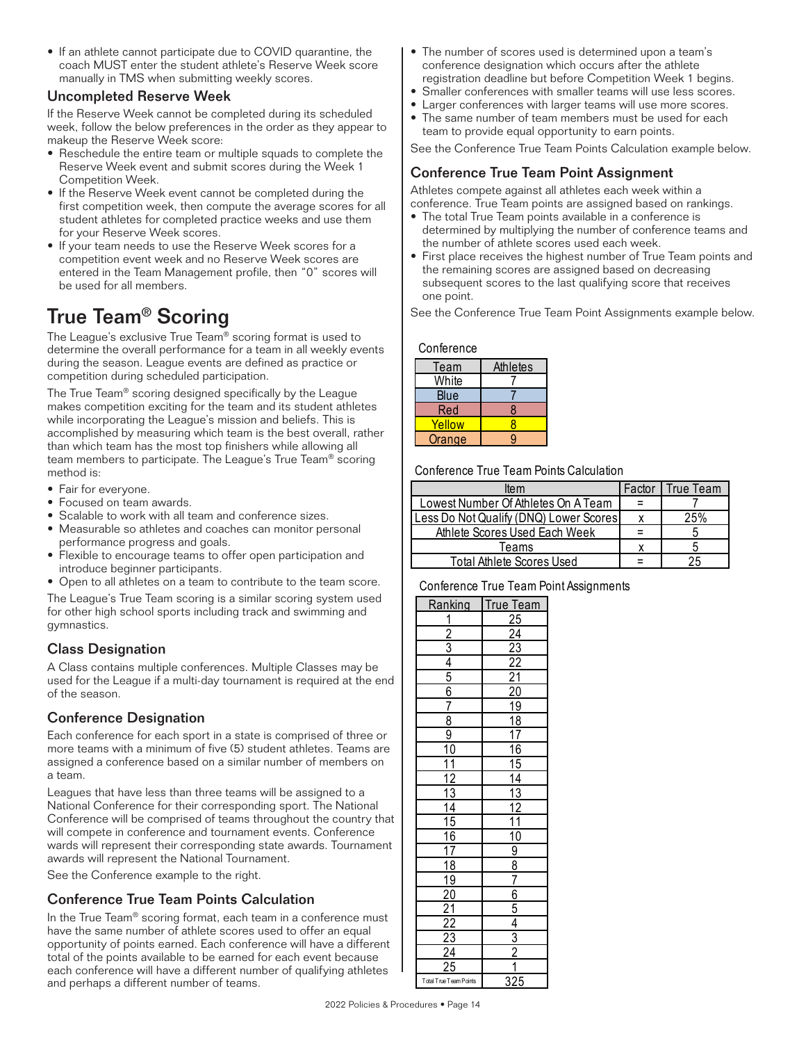• If an athlete cannot participate due to COVID quarantine, the coach MUST enter the student athlete's Reserve Week score manually in TMS when submitting weekly scores.

#### Uncompleted Reserve Week

If the Reserve Week cannot be completed during its scheduled week, follow the below preferences in the order as they appear to makeup the Reserve Week score:

- Reschedule the entire team or multiple squads to complete the Reserve Week event and submit scores during the Week 1 Competition Week.
- If the Reserve Week event cannot be completed during the first competition week, then compute the average scores for all student athletes for completed practice weeks and use them for your Reserve Week scores.
- If your team needs to use the Reserve Week scores for a competition event week and no Reserve Week scores are entered in the Team Management profile, then "0" scores will be used for all members.

### True Team® Scoring

The League's exclusive True Team® scoring format is used to determine the overall performance for a team in all weekly events during the season. League events are defined as practice or competition during scheduled participation.

The True Team® scoring designed specifically by the League makes competition exciting for the team and its student athletes while incorporating the League's mission and beliefs. This is accomplished by measuring which team is the best overall, rather than which team has the most top finishers while allowing all team members to participate. The League's True Team® scoring method is:

- Fair for everyone.
- Focused on team awards.
- Scalable to work with all team and conference sizes.
- Measurable so athletes and coaches can monitor personal Athlete Scores Used Each performance progress and goals.
- Flexible to encourage teams to offer open participation and  $\sqrt{\frac{1}{100}}$ introduce beginner participants.
- Open to all athletes on a team to contribute to the team score.

The League's True Team scoring is a similar scoring system used Fire League's frue feam scoring is a similar scoring system used<br>for other high school sports including track and swimming and gymnastics.  $\frac{1}{25}$  a  $\frac{1}{25}$  and  $\frac{1}{25}$  and  $\frac{1}{25}$  and  $\frac{1}{25}$  and  $\frac{1}{25}$  and  $\frac{1}{25}$ Blue 7 Less Do Not Qualify (DNQ) Lower Scores x 25% 2 24

### Class Designation Red 8 Athlete Scores Used Each Week = 5 3 23

A Class contains multiple conferences. Multiple Classes may be  $\begin{array}{|c|c|c|c|c|}\n\hline\n & 4 & 22\n\end{array}$ used for the League if a multi-day tournament is required at the end  $\begin{bmatrix} 5 & 21 \end{bmatrix}$ of the season.

### Conference Designation

Each conference for each sport in a state is comprised of three or more teams with a minimum of five (5) student athletes. Teams are assigned a conference based on a similar number of members on a team.

Leagues that have less than three teams will be assigned to a National Conference for their corresponding sport. The National Conference will be comprised of teams throughout the country that will compete in conference and tournament events. Conference wards will represent their corresponding state awards. Tournament awards will represent the National Tournament.

See the Conference example to the right.

### Conference True Team Points Calculation

In the True Team® scoring format, each team in a conference must have the same number of athlete scores used to offer an equal opportunity of points earned. Each conference will have a different total of the points available to be earned for each event because each conference will have a different number of qualifying athletes and perhaps a different number of teams.

- The number of scores used is determined upon a team's conference designation which occurs after the athlete registration deadline but before Competition Week 1 begins.
- Smaller conferences with smaller teams will use less scores.
- Larger conferences with larger teams will use more scores.
- The same number of team members must be used for each team to provide equal opportunity to earn points.

See the Conference True Team Points Calculation example below.

#### Conference True Team Point Assignment

Athletes compete against all athletes each week within a conference. True Team points are assigned based on rankings.

- The total True Team points available in a conference is determined by multiplying the number of conference teams and the number of athlete scores used each week.
- First place receives the highest number of True Team points and the remaining scores are assigned based on decreasing subsequent scores to the last qualifying score that receives one point.

See the Conference True Team Point Assignments example below.

#### Conference True Team Points Calculation Conference True Team Point Assignments Calculation Conference True Team Point Assignments Calculation Conference True Team Point Assignments Calculation Conference True Team Point As

| <b>Team</b>   | <b>Athletes</b> |
|---------------|-----------------|
| White         |                 |
| Blue          |                 |
| Red           |                 |
| Yellow        |                 |
| <b>Orange</b> |                 |

Conference True Team Points Calculation

|                   | ltem                                   | Factor | True Team |
|-------------------|----------------------------------------|--------|-----------|
|                   | Lowest Number Of Athletes On A Team    |        |           |
| nce sizes.        | Less Do Not Qualify (DNQ) Lower Scores |        | 25%       |
| nonitor personal  | Athlete Scores Used Each Week          |        |           |
|                   | Teams                                  |        |           |
| participation and | Total Athlete Scores Used              |        | 25        |
|                   |                                        |        |           |

#### Conference True Team Point Assignments

| Ranking                                                              |  |
|----------------------------------------------------------------------|--|
|                                                                      |  |
|                                                                      |  |
|                                                                      |  |
|                                                                      |  |
|                                                                      |  |
|                                                                      |  |
|                                                                      |  |
|                                                                      |  |
| <u>  1 2 3 4 5 6 7 8 9 10 11 12 13 14 15 16 7 18 9 0 1 2 2 3 4 2</u> |  |
|                                                                      |  |
|                                                                      |  |
|                                                                      |  |
|                                                                      |  |
|                                                                      |  |
|                                                                      |  |
|                                                                      |  |
|                                                                      |  |
|                                                                      |  |
|                                                                      |  |
|                                                                      |  |
|                                                                      |  |
|                                                                      |  |
|                                                                      |  |
|                                                                      |  |
|                                                                      |  |
| Total True Team Points                                               |  |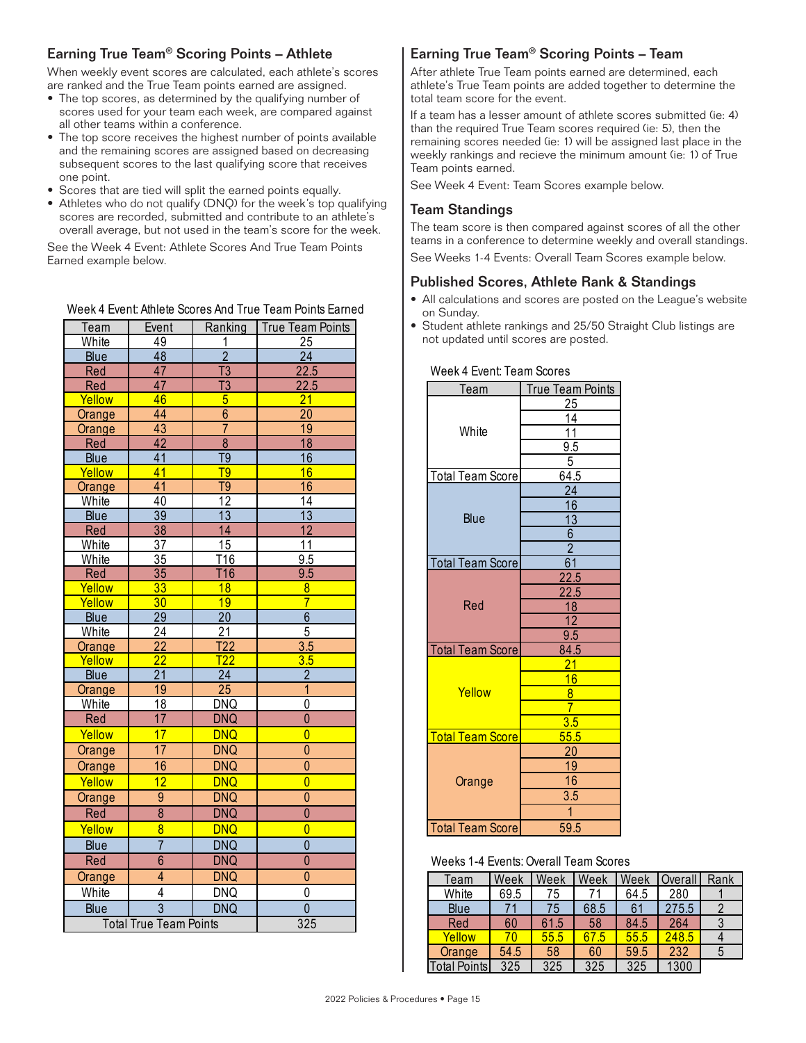### Earning True Team® Scoring Points – Athlete

When weekly event scores are calculated, each athlete's scores are ranked and the True Team points earned are assigned.

- The top scores, as determined by the qualifying number of scores used for your team each week, are compared against all other teams within a conference.
- The top score receives the highest number of points available and the remaining scores are assigned based on decreasing subsequent scores to the last qualifying score that receives one point.
- Scores that are tied will split the earned points equally.
- Athletes who do not qualify (DNQ) for the week's top qualifying scores are recorded, submitted and contribute to an athlete's overall average, but not used in the team's score for the week.

See the Week 4 Event: Athlete Scores And True Team Points Earned example below.

#### Week 4 Event: Athlete Scores And True Team Points Earned

| Team        | Event                         | Ranking          | True Team Points | • Student athlete rankings and 25/50 Straight Club listings are<br>not updated until scores are posted. |      |                  |                 |      |              |                |  |
|-------------|-------------------------------|------------------|------------------|---------------------------------------------------------------------------------------------------------|------|------------------|-----------------|------|--------------|----------------|--|
| White       | 49                            |                  | 25               |                                                                                                         |      |                  |                 |      |              |                |  |
| <b>Blue</b> | 48                            | $\overline{2}$   | 24               |                                                                                                         |      |                  |                 |      |              |                |  |
| Red         | 47                            | $\overline{13}$  | 22.5             | Week 4 Event: Team Scores                                                                               |      |                  |                 |      |              |                |  |
| Red         | 47                            | $\overline{13}$  | 22.5             | Team                                                                                                    |      | True Team Points |                 |      |              |                |  |
| Yellow      | 46                            | $\overline{5}$   | 21               |                                                                                                         |      | 25               |                 |      |              |                |  |
| Orange      | 44                            | $\overline{6}$   | 20               |                                                                                                         |      | 14               |                 |      |              |                |  |
| Orange      | 43                            | $\overline{7}$   | 19               | White                                                                                                   |      | 11               |                 |      |              |                |  |
| Red         | 42                            | $\overline{8}$   | 18               |                                                                                                         |      | 9.5              |                 |      |              |                |  |
| Blue        | $\overline{41}$               | $\overline{19}$  | 16               |                                                                                                         |      | 5                |                 |      |              |                |  |
| Yellow      | 41                            | $\overline{19}$  | 16               | <b>Total Team Score</b>                                                                                 |      | 64.5             |                 |      |              |                |  |
| Orange      | 41                            | $\overline{19}$  | 16               |                                                                                                         |      | $\overline{24}$  |                 |      |              |                |  |
| White       | 40                            | 12               | $\overline{14}$  |                                                                                                         |      | 16               |                 |      |              |                |  |
| Blue        | 39                            | $\overline{13}$  | 13               | Blue                                                                                                    |      | $\overline{13}$  |                 |      |              |                |  |
| Red         | 38                            | 14               | $\overline{12}$  |                                                                                                         |      | $6\,$            |                 |      |              |                |  |
| White       | 37                            | 15               | 11               |                                                                                                         |      | $\overline{2}$   |                 |      |              |                |  |
| White       | 35                            | T16              | 9.5              | <b>Total Team Score</b>                                                                                 |      | 61               |                 |      |              |                |  |
| Red         | 35                            | <b>T16</b>       | 9.5              |                                                                                                         |      | 22.5             |                 |      |              |                |  |
| Yellow      | 33                            | 18               | $\overline{8}$   |                                                                                                         |      | 22.5             |                 |      |              |                |  |
| Yellow      | 30                            | 19               | $\overline{7}$   | Red                                                                                                     |      | 18               |                 |      |              |                |  |
| <b>Blue</b> | 29                            | $\overline{20}$  | $\overline{6}$   |                                                                                                         |      | $\overline{12}$  |                 |      |              |                |  |
| White       | 24                            | 21               | $\overline{5}$   |                                                                                                         |      | 9.5              |                 |      |              |                |  |
| Orange      | $\overline{22}$               | T22              | 3.5              | <b>Total Team Score</b>                                                                                 |      | 84.5             |                 |      |              |                |  |
| Yellow      | $\overline{22}$               | $\overline{722}$ | 3.5              |                                                                                                         |      | $\overline{21}$  |                 |      |              |                |  |
| Blue        | $\overline{21}$               | $\overline{24}$  | $\overline{2}$   |                                                                                                         |      | 16               |                 |      |              |                |  |
| Orange      | 19                            | 25               | $\overline{1}$   | Yellow                                                                                                  |      | $\overline{8}$   |                 |      |              |                |  |
| White       | 18                            | <b>DNQ</b>       | 0                |                                                                                                         |      | $\overline{7}$   |                 |      |              |                |  |
| Red         | 17                            | <b>DNQ</b>       | $\overline{0}$   |                                                                                                         |      | 3.5              |                 |      |              |                |  |
| Yellow      | 17                            | <b>DNQ</b>       | $\overline{0}$   | <b>Total Team Score</b>                                                                                 |      | 55.5             |                 |      |              |                |  |
| Orange      | 17                            | <b>DNQ</b>       | $\mathbf{0}$     |                                                                                                         |      | 20               |                 |      |              |                |  |
| Orange      | 16                            | <b>DNQ</b>       | $\pmb{0}$        |                                                                                                         |      | 19               |                 |      |              |                |  |
| Yellow      | 12                            | <b>DNQ</b>       | $\overline{0}$   | Orange                                                                                                  |      | 16               |                 |      |              |                |  |
| Orange      | $\overline{9}$                | <b>DNQ</b>       | $\pmb{0}$        |                                                                                                         |      | 3.5              |                 |      |              |                |  |
| Red         | $\bf 8$                       | <b>DNQ</b>       | $\mathbf{0}$     |                                                                                                         |      |                  |                 |      |              |                |  |
| Yellow      | $\overline{8}$                | <b>DNQ</b>       | $\overline{0}$   | <b>Total Team Score</b>                                                                                 |      | 59.5             |                 |      |              |                |  |
| Blue        | $\overline{7}$                | <b>DNQ</b>       | $\overline{0}$   |                                                                                                         |      |                  |                 |      |              |                |  |
| Red         | $\overline{6}$                | <b>DNQ</b>       | $\mathbf{0}$     |                                                                                                         |      |                  |                 |      |              |                |  |
|             |                               |                  |                  | Weeks 1-4 Events: Overall Team Scores                                                                   |      |                  |                 |      |              |                |  |
| Orange      | $\overline{4}$                | <b>DNQ</b>       | $\overline{0}$   | Team                                                                                                    | Week | Week Week        |                 | Week | Overall Rank |                |  |
| White       | 4                             | <b>DNQ</b>       | 0                | White                                                                                                   | 69.5 | $\overline{75}$  | $\overline{71}$ | 64.5 | 280          |                |  |
| Blue        | $\overline{3}$                | <b>DNQ</b>       | $\mathbf 0$      | Blue                                                                                                    | 71   | 75               | 68.5            | 61   | 275.5        | $\overline{2}$ |  |
|             | <b>Total True Team Points</b> |                  | 325              | Red                                                                                                     | 60   | 61.5             | 58              | 84.5 | 264          | 3              |  |
|             |                               |                  |                  | Yellow                                                                                                  | 70   | 55.5             | 67.5            | 55.5 | 248.5        | 4              |  |

### Earning True Team® Scoring Points – Team

After athlete True Team points earned are determined, each athlete's True Team points are added together to determine the total team score for the event.

If a team has a lesser amount of athlete scores submitted (ie: 4) than the required True Team scores required (ie: 5), then the remaining scores needed (ie: 1) will be assigned last place in the weekly rankings and recieve the minimum amount (ie: 1) of True Team points earned.

See Week 4 Event: Team Scores example below.

#### Team Standings

The team score is then compared against scores of all the other teams in a conference to determine weekly and overall standings. Treams in a comerence to determine weekly and overall standing.<br>See Weeks 1-4 Events: Overall Team Scores example below.

### Published Scores, Athlete Rank & Standings

- All calculations and scores are posted on the League's website on Sunday. True Team Sunday.<br>True Team & Team & Team & Team & Team & Team & Team & Team & Team & Team & Team & Team & Team & Team & Team & T
- Team | Event | Ranking True Team Points | Student athlete rankings and 25/50 Straight Club listings are

| <u>Team</u>              | <b>True Team Points</b> |  |  |  |  |  |  |
|--------------------------|-------------------------|--|--|--|--|--|--|
|                          | <u> 25</u>              |  |  |  |  |  |  |
|                          | 14                      |  |  |  |  |  |  |
| White                    | 11                      |  |  |  |  |  |  |
|                          | <u>9.5</u>              |  |  |  |  |  |  |
|                          | 5                       |  |  |  |  |  |  |
| <b>Total Team Score</b>  | 64.5                    |  |  |  |  |  |  |
|                          | $\overline{24}$         |  |  |  |  |  |  |
|                          | $\overline{16}$         |  |  |  |  |  |  |
| <b>Blue</b>              | $\overline{13}$         |  |  |  |  |  |  |
|                          | $6\phantom{.}$          |  |  |  |  |  |  |
|                          | $\overline{2}$          |  |  |  |  |  |  |
| <b>Total Team Score</b>  | $\overline{61}$         |  |  |  |  |  |  |
|                          | <u> 22.5</u>            |  |  |  |  |  |  |
|                          | 22.5                    |  |  |  |  |  |  |
| Red                      | 18                      |  |  |  |  |  |  |
|                          | 12                      |  |  |  |  |  |  |
|                          | 9.5                     |  |  |  |  |  |  |
| <b>Total Team Score</b>  | 84.5                    |  |  |  |  |  |  |
|                          | <u>21</u>               |  |  |  |  |  |  |
|                          | 16                      |  |  |  |  |  |  |
| Yellow                   | $\overline{8}$          |  |  |  |  |  |  |
|                          | 7                       |  |  |  |  |  |  |
|                          | $\overline{3.5}$        |  |  |  |  |  |  |
| <u> Total Team Score</u> | 55.5                    |  |  |  |  |  |  |
|                          | 20                      |  |  |  |  |  |  |
|                          | <u>19</u>               |  |  |  |  |  |  |
| Orange                   | 16                      |  |  |  |  |  |  |
|                          | 3.5                     |  |  |  |  |  |  |
|                          | 1                       |  |  |  |  |  |  |
| <b>Total Team Score</b>  | 59.5                    |  |  |  |  |  |  |

#### Weeks 1-4 Events: Overall Team Scores

| Orange |                               | <b>DNQ</b> |     |  | Team                | Week                     | Week      | Week | Week | <b>Overall</b> Rank |  |
|--------|-------------------------------|------------|-----|--|---------------------|--------------------------|-----------|------|------|---------------------|--|
| White  |                               | <b>DNQ</b> |     |  | White               | 69.5                     | 75<br>J.  | ¬    | 64.5 | 280                 |  |
| Blue   |                               | <b>DNQ</b> |     |  | Blue                | $\overline{\phantom{a}}$ | 75<br>ل ا | 68.5 | 61   | 275.5               |  |
|        | <b>Total True Team Points</b> |            | 325 |  | Red                 | 60                       | 61.5      | 58   | 84.5 | 264                 |  |
|        |                               |            |     |  | Yellow              | 70                       | 55.5      | - 2  | 55.5 | 248.5               |  |
|        |                               |            |     |  | Orange              | 54.5                     | 58        | 60   | 59.5 | 232                 |  |
|        |                               |            |     |  | <b>Total Points</b> | 325                      | 325       | 325  | 325  | 1300                |  |